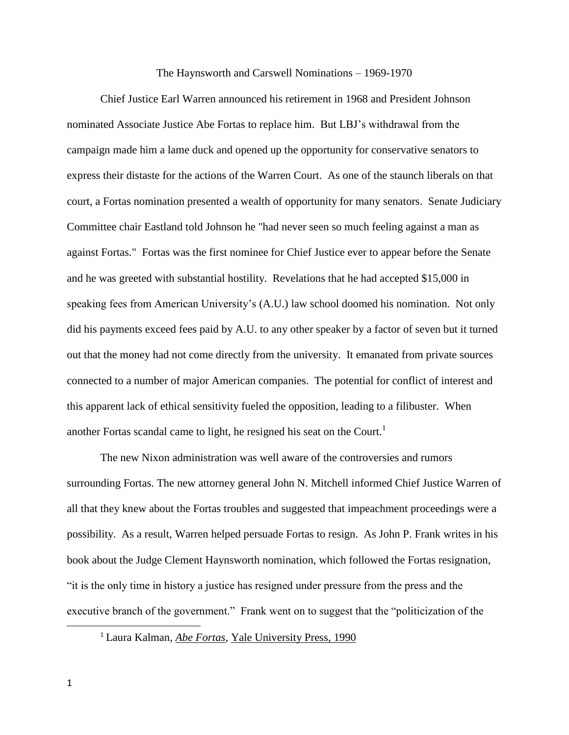## The Haynsworth and Carswell Nominations – 1969-1970

Chief Justice Earl Warren announced his retirement in 1968 and President Johnson nominated Associate Justice Abe Fortas to replace him. But LBJ's withdrawal from the campaign made him a lame duck and opened up the opportunity for conservative senators to express their distaste for the actions of the Warren Court. As one of the staunch liberals on that court, a Fortas nomination presented a wealth of opportunity for many senators. Senate Judiciary Committee chair [Eastland](http://en.wikipedia.org/wiki/James_Eastland) told Johnson he "had never seen so much feeling against a man as against Fortas." Fortas was the first nominee for Chief Justice ever to appear before the Senate and he was greeted with substantial hostility. Revelations that he had accepted \$15,000 in speaking fees from American University's (A.U.) law school doomed his nomination. Not only did his payments exceed fees paid by A.U. to any other speaker by a factor of seven but it turned out that the money had not come directly from the university. It emanated from private sources connected to a number of major American companies. The potential for conflict of interest and this apparent lack of ethical sensitivity fueled the opposition, leading to a filibuster. When another Fortas scandal came to light, he resigned his seat on the Court.<sup>1</sup>

The new [Nixon](http://en.wikipedia.org/wiki/Richard_Nixon) administration was well aware of the controversies and rumors surrounding Fortas. The new attorney general [John N. Mitchell](http://en.wikipedia.org/wiki/John_N._Mitchell) informed Chief Justice Warren of all that they knew about the Fortas troubles and suggested that impeachment proceedings were a possibility. As a result, Warren helped persuade Fortas to resign. As John P. Frank writes in his book about the Judge Clement Haynsworth nomination, which followed the Fortas resignation, "it is the only time in history a justice has resigned under pressure from the press and the executive branch of the government." Frank went on to suggest that the "politicization of the

 $\overline{a}$ 

<sup>1</sup> Laura Kalman, *[Abe Fortas](http://books.google.com/books?id=x-Fbl_xE1E0C)*, [Yale University Press,](http://en.wikipedia.org/wiki/Yale_University_Press) 1990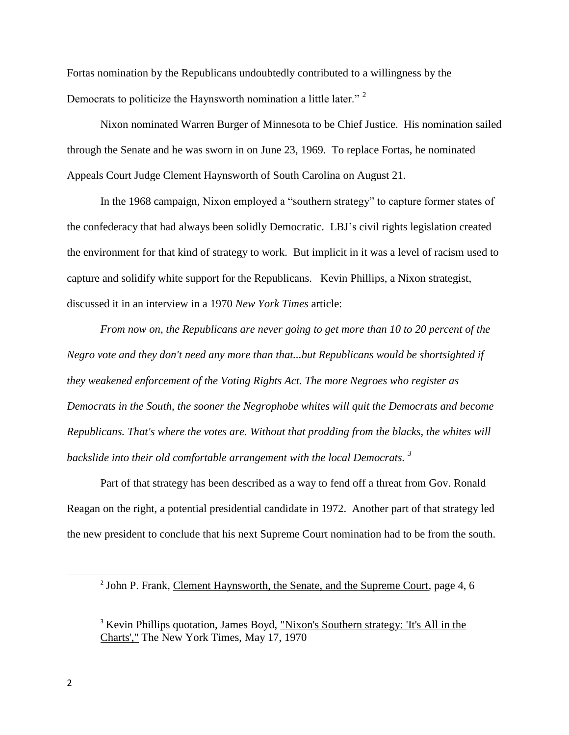Fortas nomination by the Republicans undoubtedly contributed to a willingness by the Democrats to politicize the Haynsworth nomination a little later."<sup>2</sup>

Nixon nominated Warren Burger of Minnesota to be Chief Justice. His nomination sailed through the Senate and he was sworn in on June 23, 1969. To replace Fortas, he nominated Appeals Court Judge Clement Haynsworth of South Carolina on August 21.

In the 1968 campaign, Nixon employed a "southern strategy" to capture former states of the confederacy that had always been solidly Democratic. LBJ's civil rights legislation created the environment for that kind of strategy to work. But implicit in it was a level of racism used to capture and solidify white support for the Republicans. Kevin Phillips, a Nixon strategist, discussed it in an interview in a 1970 *New York Times* article:

*From now on, the Republicans are never going to get more than 10 to 20 percent of the Negro vote and they don't need any more than that...but Republicans would be shortsighted if they weakened enforcement of the [Voting Rights Act.](http://en.wikipedia.org/wiki/Voting_Rights_Act) The more Negroes who register as Democrats in the South, the sooner the Negrophobe whites will quit the Democrats and become Republicans. That's where the votes are. Without that prodding from the blacks, the whites will backslide into their old comfortable arrangement with the local Democrats. <sup>3</sup>*

Part of that strategy has been described as a way to fend off a threat from Gov. Ronald Reagan on the right, a potential presidential candidate in 1972. Another part of that strategy led the new president to conclude that his next Supreme Court nomination had to be from the south.

<sup>&</sup>lt;sup>2</sup> John P. Frank, Clement Haynsworth, the Senate, and the Supreme Court, page 4, 6

<sup>&</sup>lt;sup>3</sup> Kevin Phillips quotation, James Boyd, "Nixon's Southern strategy: 'It's All in the [Charts',"](http://www.nytimes.com/packages/html/books/phillips-southern.pdf) The New York Times, May 17, 1970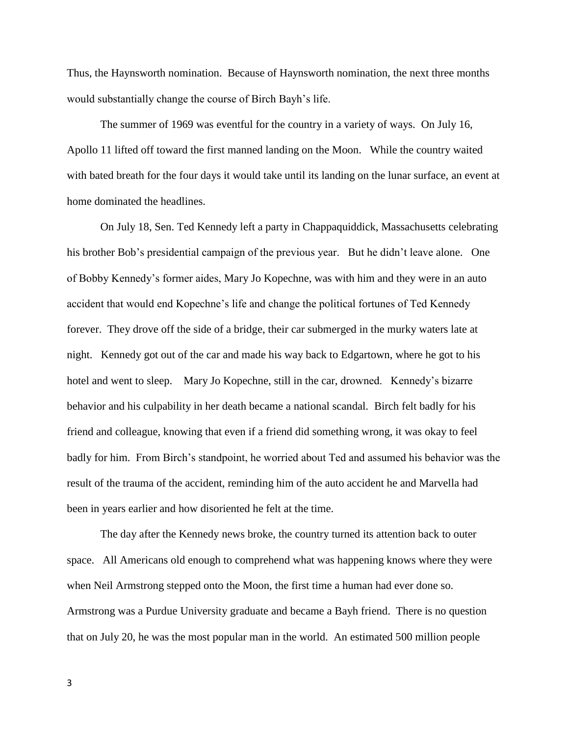Thus, the Haynsworth nomination. Because of Haynsworth nomination, the next three months would substantially change the course of Birch Bayh's life.

The summer of 1969 was eventful for the country in a variety of ways. On July 16, Apollo 11 lifted off toward the first manned landing on the Moon. While the country waited with bated breath for the four days it would take until its landing on the lunar surface, an event at home dominated the headlines.

On July 18, Sen. Ted Kennedy left a party in Chappaquiddick, Massachusetts celebrating his brother Bob's presidential campaign of the previous year. But he didn't leave alone. One of Bobby Kennedy's former aides, [Mary Jo Kopechne,](http://en.wikipedia.org/wiki/Mary_Jo_Kopechne) was with him and they were in an auto accident that would end Kopechne's life and change the political fortunes of Ted Kennedy forever. They drove off the side of a bridge, their car submerged in the murky waters late at night. Kennedy got out of the car and made his way back to Edgartown, where he got to his hotel and went to sleep. [Mary Jo Kopechne,](http://en.wikipedia.org/wiki/Mary_Jo_Kopechne) still in the car, drowned. Kennedy's bizarre behavior and his culpability in her death became a national scandal. Birch felt badly for his friend and colleague, knowing that even if a friend did something wrong, it was okay to feel badly for him. From Birch's standpoint, he worried about Ted and assumed his behavior was the result of the trauma of the accident, reminding him of the auto accident he and Marvella had been in years earlier and how disoriented he felt at the time.

The day after the Kennedy news broke, the country turned its attention back to outer space. All Americans old enough to comprehend what was happening knows where they were when Neil Armstrong stepped onto the Moon, the first time a human had ever done so. Armstrong was a Purdue University graduate and became a Bayh friend. There is no question that on July 20, he was the most popular man in the world. An estimated 500 million people

3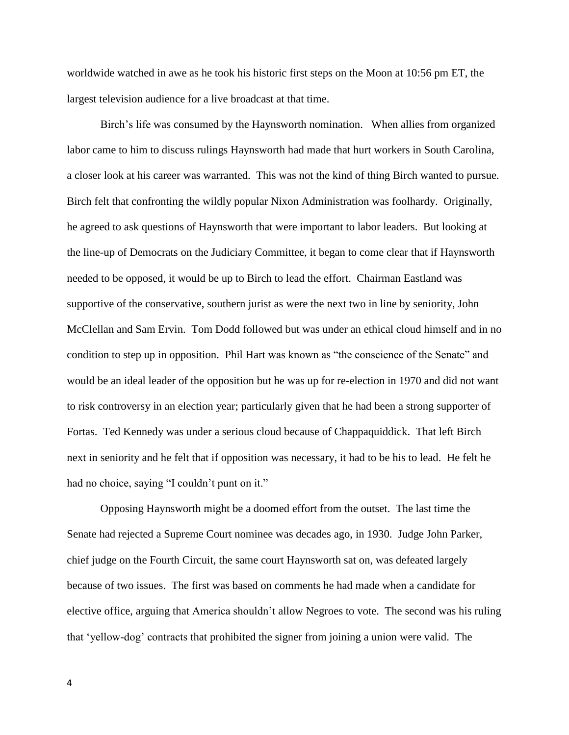worldwide watched in awe as he took his historic first steps on the [Moon](http://en.wikipedia.org/wiki/Moon_landing) at 10:56 pm ET, the largest television audience for a live broadcast at that time.

Birch's life was consumed by the Haynsworth nomination. When allies from organized labor came to him to discuss rulings Haynsworth had made that hurt workers in South Carolina, a closer look at his career was warranted. This was not the kind of thing Birch wanted to pursue. Birch felt that confronting the wildly popular Nixon Administration was foolhardy. Originally, he agreed to ask questions of Haynsworth that were important to labor leaders. But looking at the line-up of Democrats on the Judiciary Committee, it began to come clear that if Haynsworth needed to be opposed, it would be up to Birch to lead the effort. Chairman Eastland was supportive of the conservative, southern jurist as were the next two in line by seniority, John McClellan and Sam Ervin. Tom Dodd followed but was under an ethical cloud himself and in no condition to step up in opposition. Phil Hart was known as "the conscience of the Senate" and would be an ideal leader of the opposition but he was up for re-election in 1970 and did not want to risk controversy in an election year; particularly given that he had been a strong supporter of Fortas. Ted Kennedy was under a serious cloud because of Chappaquiddick. That left Birch next in seniority and he felt that if opposition was necessary, it had to be his to lead. He felt he had no choice, saying "I couldn't punt on it."

Opposing Haynsworth might be a doomed effort from the outset. The last time the Senate had rejected a Supreme Court nominee was decades ago, in 1930. Judge John Parker, chief judge on the Fourth Circuit, the same court Haynsworth sat on, was defeated largely because of two issues. The first was based on comments he had made when a candidate for elective office, arguing that America shouldn't allow Negroes to vote. The second was his ruling that 'yellow-dog' contracts that prohibited the signer from joining a union were valid. The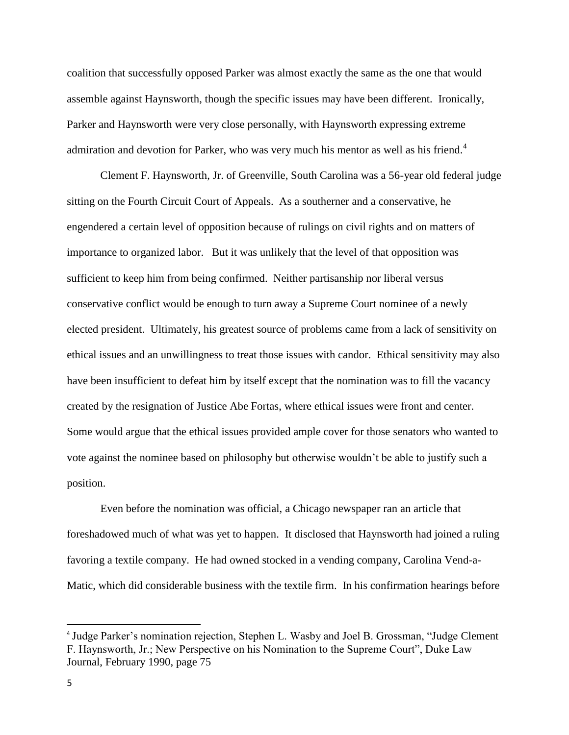coalition that successfully opposed Parker was almost exactly the same as the one that would assemble against Haynsworth, though the specific issues may have been different. Ironically, Parker and Haynsworth were very close personally, with Haynsworth expressing extreme admiration and devotion for Parker, who was very much his mentor as well as his friend.<sup>4</sup>

Clement F. Haynsworth, Jr. of Greenville, South Carolina was a 56-year old federal judge sitting on the Fourth Circuit Court of Appeals. As a southerner and a conservative, he engendered a certain level of opposition because of rulings on civil rights and on matters of importance to organized labor. But it was unlikely that the level of that opposition was sufficient to keep him from being confirmed. Neither partisanship nor liberal versus conservative conflict would be enough to turn away a Supreme Court nominee of a newly elected president. Ultimately, his greatest source of problems came from a lack of sensitivity on ethical issues and an unwillingness to treat those issues with candor. Ethical sensitivity may also have been insufficient to defeat him by itself except that the nomination was to fill the vacancy created by the resignation of Justice Abe Fortas, where ethical issues were front and center. Some would argue that the ethical issues provided ample cover for those senators who wanted to vote against the nominee based on philosophy but otherwise wouldn't be able to justify such a position.

Even before the nomination was official, a Chicago newspaper ran an article that foreshadowed much of what was yet to happen. It disclosed that Haynsworth had joined a ruling favoring a textile company. He had owned stocked in a vending company, Carolina Vend-a-Matic, which did considerable business with the textile firm. In his confirmation hearings before

<sup>&</sup>lt;sup>4</sup> Judge Parker's nomination rejection, Stephen L. Wasby and Joel B. Grossman, "Judge Clement F. Haynsworth, Jr.; New Perspective on his Nomination to the Supreme Court", Duke Law Journal, February 1990, page 75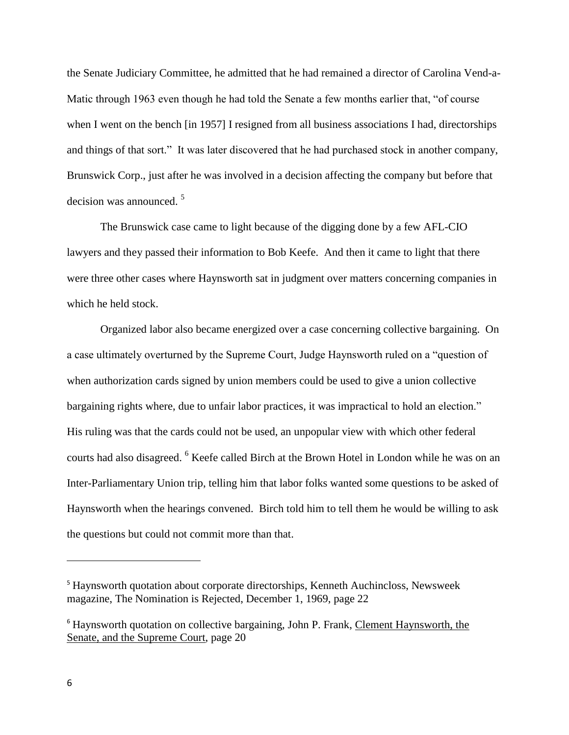the Senate Judiciary Committee, he admitted that he had remained a director of Carolina Vend-a-Matic through 1963 even though he had told the Senate a few months earlier that, "of course when I went on the bench [in 1957] I resigned from all business associations I had, directorships and things of that sort." It was later discovered that he had purchased stock in another company, Brunswick Corp., just after he was involved in a decision affecting the company but before that decision was announced.<sup>5</sup>

The Brunswick case came to light because of the digging done by a few AFL-CIO lawyers and they passed their information to Bob Keefe. And then it came to light that there were three other cases where Haynsworth sat in judgment over matters concerning companies in which he held stock.

Organized labor also became energized over a case concerning collective bargaining. On a case ultimately overturned by the Supreme Court, Judge Haynsworth ruled on a "question of when authorization cards signed by union members could be used to give a union collective bargaining rights where, due to unfair labor practices, it was impractical to hold an election." His ruling was that the cards could not be used, an unpopular view with which other federal courts had also disagreed. <sup>6</sup> Keefe called Birch at the Brown Hotel in London while he was on an Inter-Parliamentary Union trip, telling him that labor folks wanted some questions to be asked of Haynsworth when the hearings convened. Birch told him to tell them he would be willing to ask the questions but could not commit more than that.

<sup>5</sup> Haynsworth quotation about corporate directorships, Kenneth Auchincloss, Newsweek magazine, The Nomination is Rejected, December 1, 1969, page 22

<sup>&</sup>lt;sup>6</sup> Haynsworth quotation on collective bargaining, John P. Frank, Clement Haynsworth, the Senate, and the Supreme Court, page 20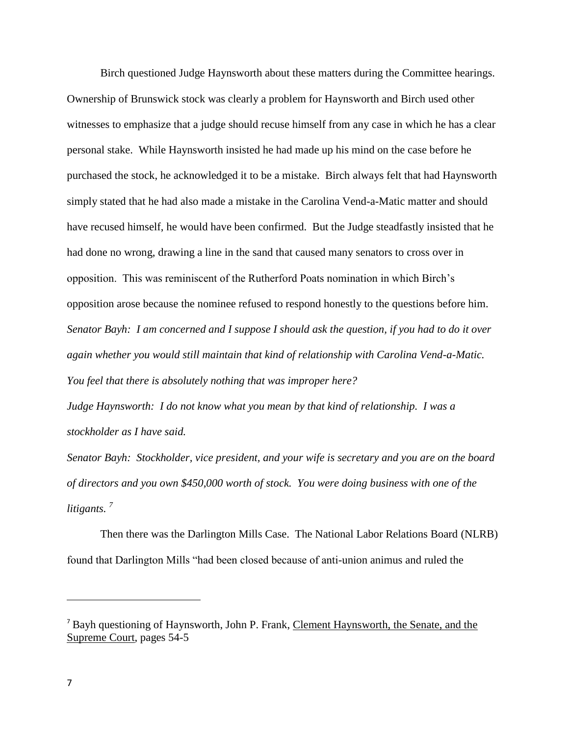Birch questioned Judge Haynsworth about these matters during the Committee hearings. Ownership of Brunswick stock was clearly a problem for Haynsworth and Birch used other witnesses to emphasize that a judge should recuse himself from any case in which he has a clear personal stake. While Haynsworth insisted he had made up his mind on the case before he purchased the stock, he acknowledged it to be a mistake. Birch always felt that had Haynsworth simply stated that he had also made a mistake in the Carolina Vend-a-Matic matter and should have recused himself, he would have been confirmed. But the Judge steadfastly insisted that he had done no wrong, drawing a line in the sand that caused many senators to cross over in opposition. This was reminiscent of the Rutherford Poats nomination in which Birch's opposition arose because the nominee refused to respond honestly to the questions before him. *Senator Bayh: I am concerned and I suppose I should ask the question, if you had to do it over again whether you would still maintain that kind of relationship with Carolina Vend-a-Matic. You feel that there is absolutely nothing that was improper here?*

*Judge Haynsworth: I do not know what you mean by that kind of relationship. I was a stockholder as I have said.*

*Senator Bayh: Stockholder, vice president, and your wife is secretary and you are on the board of directors and you own \$450,000 worth of stock. You were doing business with one of the litigants. <sup>7</sup>*

Then there was the Darlington Mills Case. The National Labor Relations Board (NLRB) found that Darlington Mills "had been closed because of anti-union animus and ruled the

<sup>7</sup> Bayh questioning of Haynsworth, John P. Frank, Clement Haynsworth, the Senate, and the Supreme Court, pages 54-5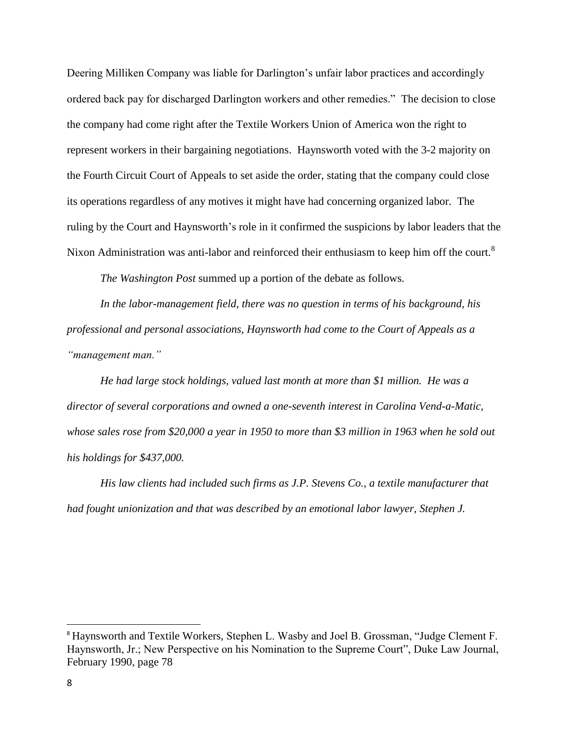Deering Milliken Company was liable for Darlington's unfair labor practices and accordingly ordered back pay for discharged Darlington workers and other remedies." The decision to close the company had come right after the Textile Workers Union of America won the right to represent workers in their bargaining negotiations. Haynsworth voted with the 3-2 majority on the Fourth Circuit Court of Appeals to set aside the order, stating that the company could close its operations regardless of any motives it might have had concerning organized labor. The ruling by the Court and Haynsworth's role in it confirmed the suspicions by labor leaders that the Nixon Administration was anti-labor and reinforced their enthusiasm to keep him off the court.<sup>8</sup>

*The Washington Post* summed up a portion of the debate as follows.

*In the labor-management field, there was no question in terms of his background, his professional and personal associations, Haynsworth had come to the Court of Appeals as a "management man."*

*He had large stock holdings, valued last month at more than \$1 million. He was a director of several corporations and owned a one-seventh interest in Carolina Vend-a-Matic, whose sales rose from \$20,000 a year in 1950 to more than \$3 million in 1963 when he sold out his holdings for \$437,000.*

*His law clients had included such firms as J.P. Stevens Co., a textile manufacturer that had fought unionization and that was described by an emotional labor lawyer, Stephen J.* 

<sup>8</sup> Haynsworth and Textile Workers, Stephen L. Wasby and Joel B. Grossman, "Judge Clement F. Haynsworth, Jr.; New Perspective on his Nomination to the Supreme Court", Duke Law Journal, February 1990, page 78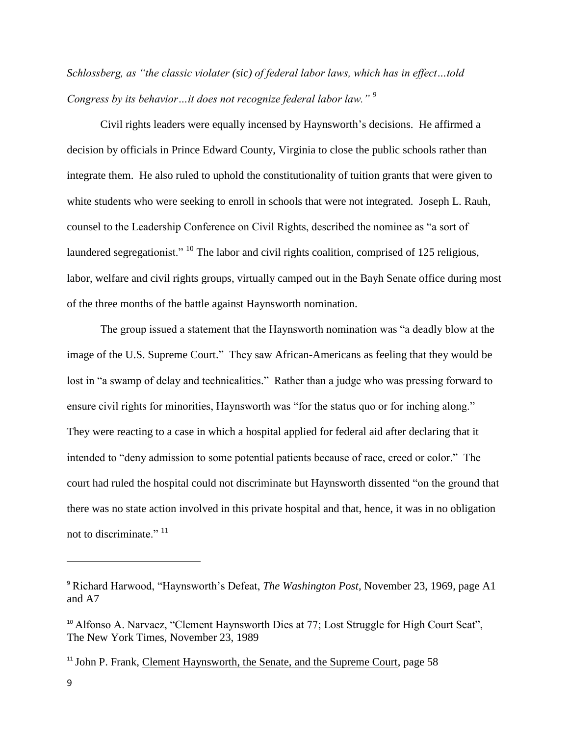*Schlossberg, as "the classic violater (sic) of federal labor laws, which has in effect…told Congress by its behavior…it does not recognize federal labor law." <sup>9</sup>*

Civil rights leaders were equally incensed by Haynsworth's decisions. He affirmed a decision by officials in Prince Edward County, Virginia to close the public schools rather than integrate them. He also ruled to uphold the constitutionality of tuition grants that were given to white students who were seeking to enroll in schools that were not integrated. Joseph L. Rauh, counsel to the Leadership Conference on Civil Rights, described the nominee as "a sort of laundered segregationist." <sup>10</sup> The labor and civil rights coalition, comprised of 125 religious, labor, welfare and civil rights groups, virtually camped out in the Bayh Senate office during most of the three months of the battle against Haynsworth nomination.

The group issued a statement that the Haynsworth nomination was "a deadly blow at the image of the U.S. Supreme Court." They saw African-Americans as feeling that they would be lost in "a swamp of delay and technicalities." Rather than a judge who was pressing forward to ensure civil rights for minorities, Haynsworth was "for the status quo or for inching along." They were reacting to a case in which a hospital applied for federal aid after declaring that it intended to "deny admission to some potential patients because of race, creed or color." The court had ruled the hospital could not discriminate but Haynsworth dissented "on the ground that there was no state action involved in this private hospital and that, hence, it was in no obligation not to discriminate."<sup>11</sup>

<sup>9</sup> Richard Harwood, "Haynsworth's Defeat, *The Washington Post*, November 23, 1969, page A1 and A7

<sup>&</sup>lt;sup>10</sup> Alfonso A. Narvaez, "Clement Haynsworth Dies at 77; Lost Struggle for High Court Seat", The New York Times, November 23, 1989

<sup>&</sup>lt;sup>11</sup> John P. Frank, Clement Haynsworth, the Senate, and the Supreme Court, page 58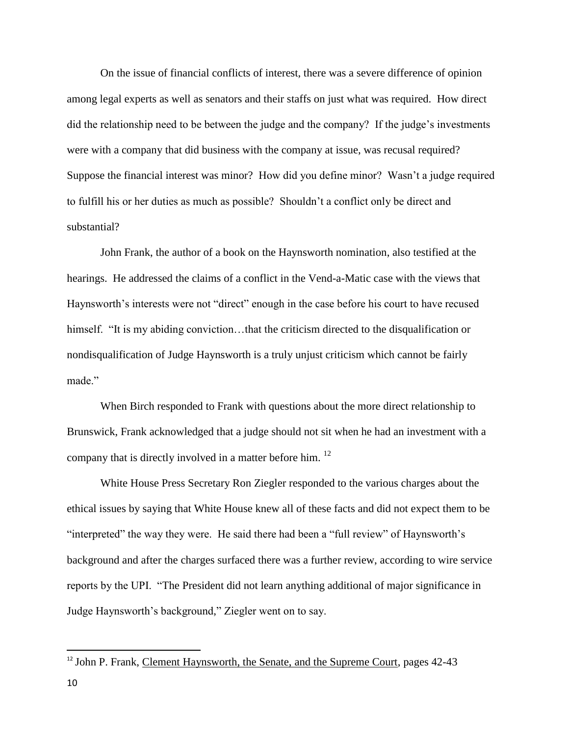On the issue of financial conflicts of interest, there was a severe difference of opinion among legal experts as well as senators and their staffs on just what was required. How direct did the relationship need to be between the judge and the company? If the judge's investments were with a company that did business with the company at issue, was recusal required? Suppose the financial interest was minor? How did you define minor? Wasn't a judge required to fulfill his or her duties as much as possible? Shouldn't a conflict only be direct and substantial?

John Frank, the author of a book on the Haynsworth nomination, also testified at the hearings. He addressed the claims of a conflict in the Vend-a-Matic case with the views that Haynsworth's interests were not "direct" enough in the case before his court to have recused himself. "It is my abiding conviction...that the criticism directed to the disqualification or nondisqualification of Judge Haynsworth is a truly unjust criticism which cannot be fairly made"

When Birch responded to Frank with questions about the more direct relationship to Brunswick, Frank acknowledged that a judge should not sit when he had an investment with a company that is directly involved in a matter before him. <sup>12</sup>

White House Press Secretary Ron Ziegler responded to the various charges about the ethical issues by saying that White House knew all of these facts and did not expect them to be "interpreted" the way they were. He said there had been a "full review" of Haynsworth's background and after the charges surfaced there was a further review, according to wire service reports by the UPI. "The President did not learn anything additional of major significance in Judge Haynsworth's background," Ziegler went on to say.

 $\overline{a}$ 

<sup>&</sup>lt;sup>12</sup> John P. Frank, Clement Haynsworth, the Senate, and the Supreme Court, pages 42-43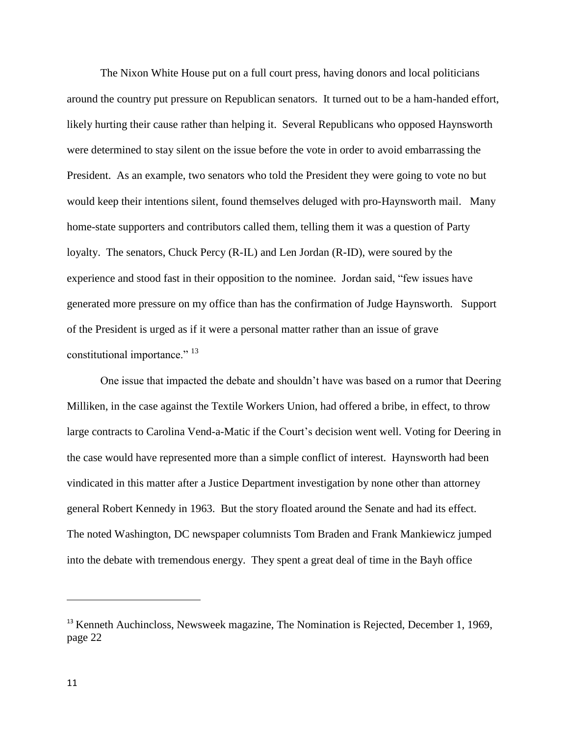The Nixon White House put on a full court press, having donors and local politicians around the country put pressure on Republican senators. It turned out to be a ham-handed effort, likely hurting their cause rather than helping it. Several Republicans who opposed Haynsworth were determined to stay silent on the issue before the vote in order to avoid embarrassing the President. As an example, two senators who told the President they were going to vote no but would keep their intentions silent, found themselves deluged with pro-Haynsworth mail. Many home-state supporters and contributors called them, telling them it was a question of Party loyalty. The senators, Chuck Percy (R-IL) and Len Jordan (R-ID), were soured by the experience and stood fast in their opposition to the nominee. Jordan said, "few issues have generated more pressure on my office than has the confirmation of Judge Haynsworth. Support of the President is urged as if it were a personal matter rather than an issue of grave constitutional importance."<sup>13</sup>

One issue that impacted the debate and shouldn't have was based on a rumor that Deering Milliken, in the case against the Textile Workers Union, had offered a bribe, in effect, to throw large contracts to Carolina Vend-a-Matic if the Court's decision went well. Voting for Deering in the case would have represented more than a simple conflict of interest. Haynsworth had been vindicated in this matter after a Justice Department investigation by none other than attorney general Robert Kennedy in 1963. But the story floated around the Senate and had its effect. The noted Washington, DC newspaper columnists Tom Braden and Frank Mankiewicz jumped into the debate with tremendous energy. They spent a great deal of time in the Bayh office

<sup>&</sup>lt;sup>13</sup> Kenneth Auchincloss, Newsweek magazine, The Nomination is Rejected, December 1, 1969, page 22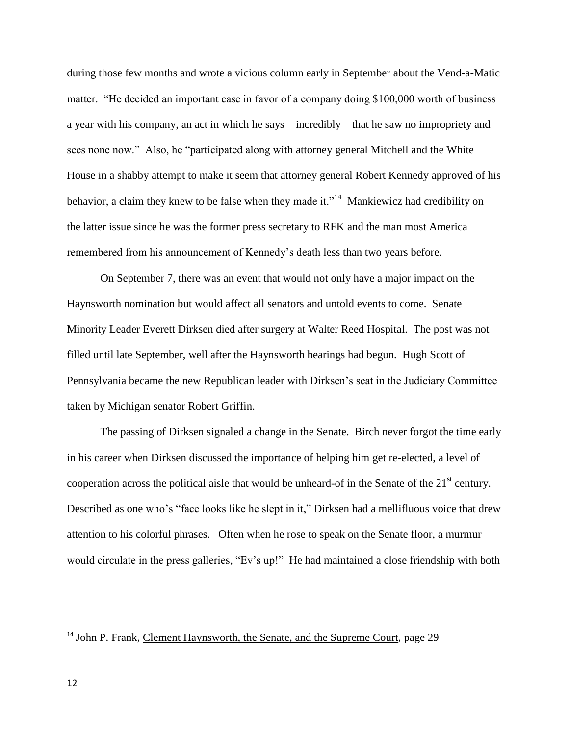during those few months and wrote a vicious column early in September about the Vend-a-Matic matter. "He decided an important case in favor of a company doing \$100,000 worth of business a year with his company, an act in which he says – incredibly – that he saw no impropriety and sees none now." Also, he "participated along with attorney general Mitchell and the White House in a shabby attempt to make it seem that attorney general Robert Kennedy approved of his behavior, a claim they knew to be false when they made it."<sup>14</sup> Mankiewicz had credibility on the latter issue since he was the former press secretary to RFK and the man most America remembered from his announcement of Kennedy's death less than two years before.

On September 7, there was an event that would not only have a major impact on the Haynsworth nomination but would affect all senators and untold events to come. Senate Minority Leader Everett Dirksen died after surgery at Walter Reed Hospital. The post was not filled until late September, well after the Haynsworth hearings had begun. Hugh Scott of Pennsylvania became the new Republican leader with Dirksen's seat in the Judiciary Committee taken by Michigan senator Robert Griffin.

The passing of Dirksen signaled a change in the Senate. Birch never forgot the time early in his career when Dirksen discussed the importance of helping him get re-elected, a level of cooperation across the political aisle that would be unheard-of in the Senate of the  $21<sup>st</sup>$  century. Described as one who's "face looks like he slept in it," Dirksen had a mellifluous voice that drew attention to his colorful phrases. Often when he rose to speak on the Senate floor, a murmur would circulate in the press galleries, "Ev's up!" He had maintained a close friendship with both

<sup>&</sup>lt;sup>14</sup> John P. Frank, Clement Haynsworth, the Senate, and the Supreme Court, page 29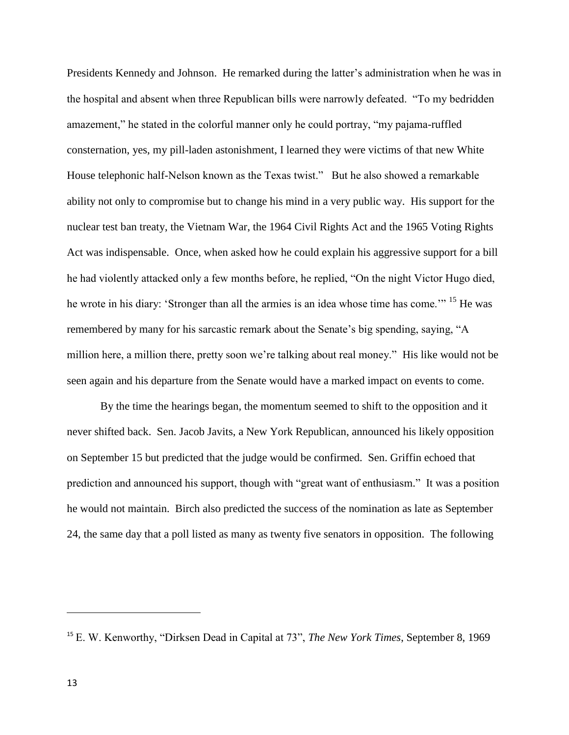Presidents Kennedy and Johnson. He remarked during the latter's administration when he was in the hospital and absent when three Republican bills were narrowly defeated. "To my bedridden amazement," he stated in the colorful manner only he could portray, "my pajama-ruffled consternation, yes, my pill-laden astonishment, I learned they were victims of that new White House telephonic half-Nelson known as the Texas twist." But he also showed a remarkable ability not only to compromise but to change his mind in a very public way. His support for the nuclear test ban treaty, the Vietnam War, the 1964 Civil Rights Act and the 1965 Voting Rights Act was indispensable. Once, when asked how he could explain his aggressive support for a bill he had violently attacked only a few months before, he replied, "On the night Victor Hugo died, he wrote in his diary: 'Stronger than all the armies is an idea whose time has come.'" <sup>15</sup> He was remembered by many for his sarcastic remark about the Senate's big spending, saying, "A million here, a million there, pretty soon we're talking about real money." His like would not be seen again and his departure from the Senate would have a marked impact on events to come.

By the time the hearings began, the momentum seemed to shift to the opposition and it never shifted back. Sen. Jacob Javits, a New York Republican, announced his likely opposition on September 15 but predicted that the judge would be confirmed. Sen. Griffin echoed that prediction and announced his support, though with "great want of enthusiasm." It was a position he would not maintain. Birch also predicted the success of the nomination as late as September 24, the same day that a poll listed as many as twenty five senators in opposition. The following

<sup>15</sup> E. W. Kenworthy, "Dirksen Dead in Capital at 73", *The New York Times*, September 8, 1969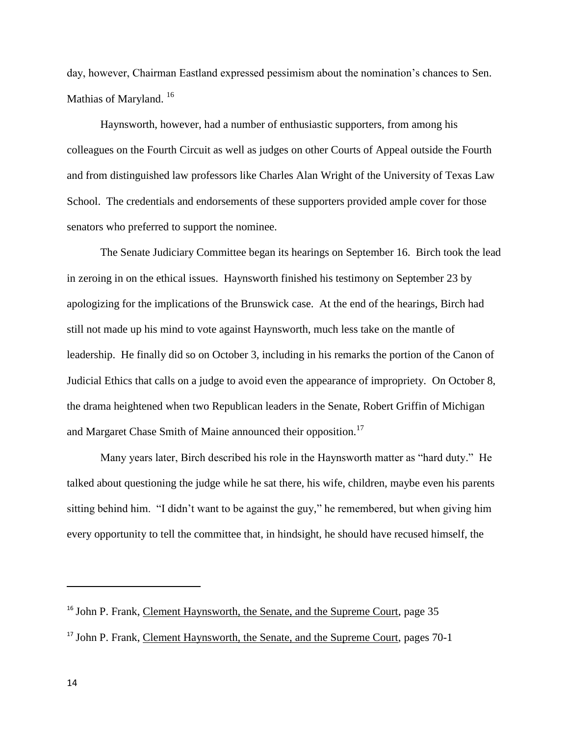day, however, Chairman Eastland expressed pessimism about the nomination's chances to Sen. Mathias of Maryland.<sup>16</sup>

Haynsworth, however, had a number of enthusiastic supporters, from among his colleagues on the Fourth Circuit as well as judges on other Courts of Appeal outside the Fourth and from distinguished law professors like Charles Alan Wright of the University of Texas Law School. The credentials and endorsements of these supporters provided ample cover for those senators who preferred to support the nominee.

The Senate Judiciary Committee began its hearings on September 16. Birch took the lead in zeroing in on the ethical issues. Haynsworth finished his testimony on September 23 by apologizing for the implications of the Brunswick case. At the end of the hearings, Birch had still not made up his mind to vote against Haynsworth, much less take on the mantle of leadership. He finally did so on October 3, including in his remarks the portion of the Canon of Judicial Ethics that calls on a judge to avoid even the appearance of impropriety. On October 8, the drama heightened when two Republican leaders in the Senate, Robert Griffin of Michigan and Margaret Chase Smith of Maine announced their opposition.<sup>17</sup>

Many years later, Birch described his role in the Haynsworth matter as "hard duty." He talked about questioning the judge while he sat there, his wife, children, maybe even his parents sitting behind him. "I didn't want to be against the guy," he remembered, but when giving him every opportunity to tell the committee that, in hindsight, he should have recused himself, the

 $\overline{a}$ 

<sup>&</sup>lt;sup>16</sup> John P. Frank, Clement Haynsworth, the Senate, and the Supreme Court, page 35

<sup>17</sup> John P. Frank, Clement Haynsworth, the Senate, and the Supreme Court, pages 70-1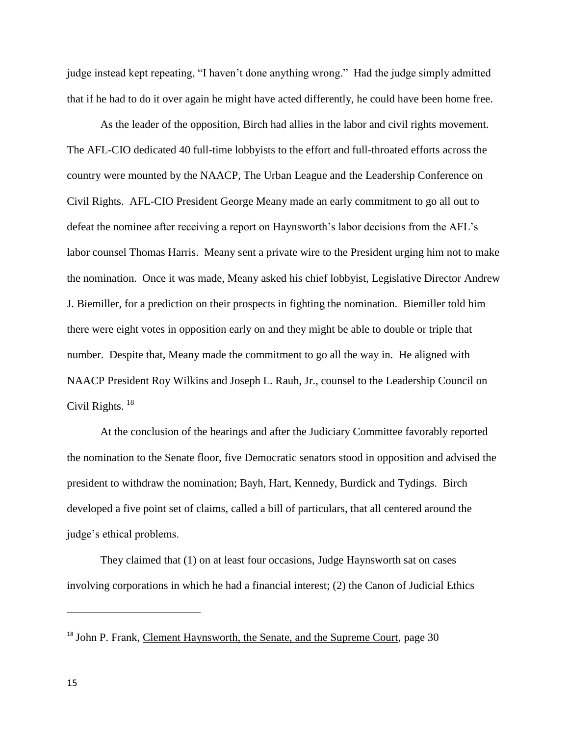judge instead kept repeating, "I haven't done anything wrong." Had the judge simply admitted that if he had to do it over again he might have acted differently, he could have been home free.

As the leader of the opposition, Birch had allies in the labor and civil rights movement. The AFL-CIO dedicated 40 full-time lobbyists to the effort and full-throated efforts across the country were mounted by the NAACP, The Urban League and the Leadership Conference on Civil Rights. AFL-CIO President George Meany made an early commitment to go all out to defeat the nominee after receiving a report on Haynsworth's labor decisions from the AFL's labor counsel Thomas Harris. Meany sent a private wire to the President urging him not to make the nomination. Once it was made, Meany asked his chief lobbyist, Legislative Director Andrew J. Biemiller, for a prediction on their prospects in fighting the nomination. Biemiller told him there were eight votes in opposition early on and they might be able to double or triple that number. Despite that, Meany made the commitment to go all the way in. He aligned with NAACP President Roy Wilkins and Joseph L. Rauh, Jr., counsel to the Leadership Council on Civil Rights.<sup>18</sup>

At the conclusion of the hearings and after the Judiciary Committee favorably reported the nomination to the Senate floor, five Democratic senators stood in opposition and advised the president to withdraw the nomination; Bayh, Hart, Kennedy, Burdick and Tydings. Birch developed a five point set of claims, called a bill of particulars, that all centered around the judge's ethical problems.

They claimed that (1) on at least four occasions, Judge Haynsworth sat on cases involving corporations in which he had a financial interest; (2) the Canon of Judicial Ethics

<sup>&</sup>lt;sup>18</sup> John P. Frank, Clement Haynsworth, the Senate, and the Supreme Court, page 30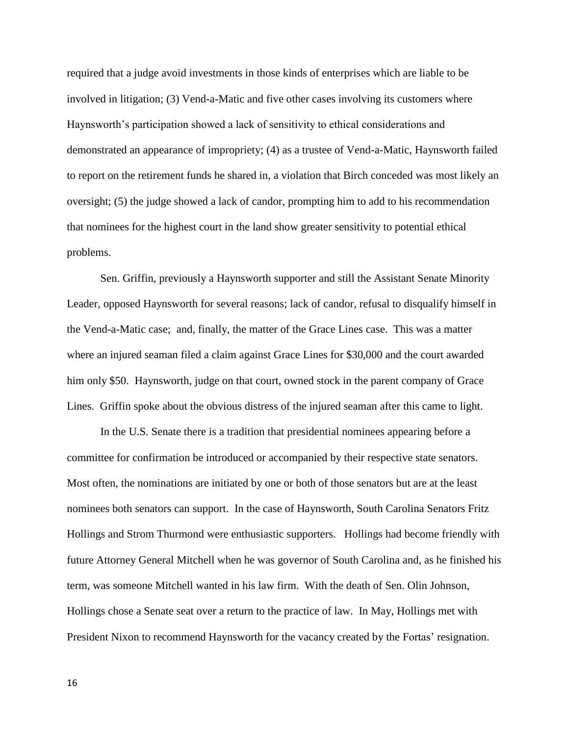required that a judge avoid investments in those kinds of enterprises which are liable to be involved in litigation; (3) Vend-a-Matic and five other cases involving its customers where Haynsworth's participation showed a lack of sensitivity to ethical considerations and demonstrated an appearance of impropriety; (4) as a trustee of Vend-a-Matic, Haynsworth failed to report on the retirement funds he shared in, a violation that Birch conceded was most likely an oversight; (5) the judge showed a lack of candor, prompting him to add to his recommendation that nominees for the highest court in the land show greater sensitivity to potential ethical problems.

Sen. Griffin, previously a Haynsworth supporter and still the Assistant Senate Minority Leader, opposed Haynsworth for several reasons; lack of candor, refusal to disqualify himself in the Vend-a-Matic case; and, finally, the matter of the Grace Lines case. This was a matter where an injured seaman filed a claim against Grace Lines for \$30,000 and the court awarded him only \$50. Haynsworth, judge on that court, owned stock in the parent company of Grace Lines. Griffin spoke about the obvious distress of the injured seaman after this came to light.

In the U.S. Senate there is a tradition that presidential nominees appearing before a committee for confirmation be introduced or accompanied by their respective state senators. Most often, the nominations are initiated by one or both of those senators but are at the least nominees both senators can support. In the case of Haynsworth, South Carolina Senators Fritz Hollings and Strom Thurmond were enthusiastic supporters. Hollings had become friendly with future Attorney General Mitchell when he was governor of South Carolina and, as he finished his term, was someone Mitchell wanted in his law firm. With the death of Sen. Olin Johnson, Hollings chose a Senate seat over a return to the practice of law. In May, Hollings met with President Nixon to recommend Haynsworth for the vacancy created by the Fortas' resignation.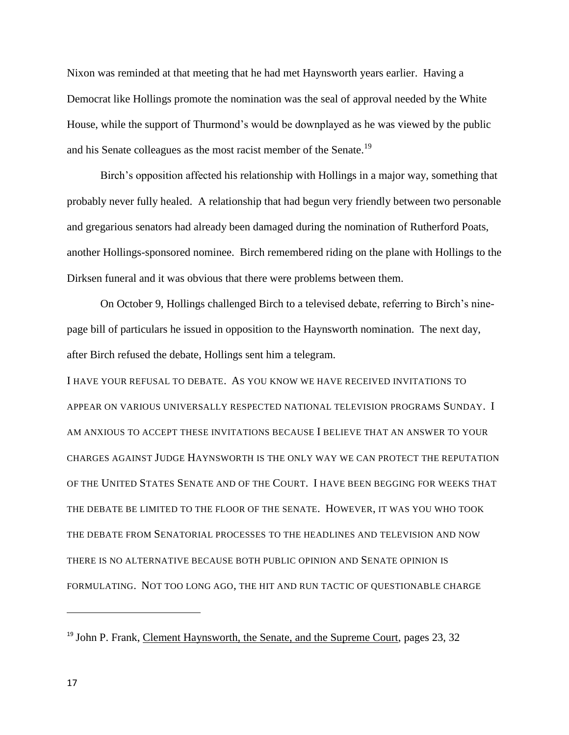Nixon was reminded at that meeting that he had met Haynsworth years earlier. Having a Democrat like Hollings promote the nomination was the seal of approval needed by the White House, while the support of Thurmond's would be downplayed as he was viewed by the public and his Senate colleagues as the most racist member of the Senate.<sup>19</sup>

Birch's opposition affected his relationship with Hollings in a major way, something that probably never fully healed. A relationship that had begun very friendly between two personable and gregarious senators had already been damaged during the nomination of Rutherford Poats, another Hollings-sponsored nominee. Birch remembered riding on the plane with Hollings to the Dirksen funeral and it was obvious that there were problems between them.

On October 9, Hollings challenged Birch to a televised debate, referring to Birch's ninepage bill of particulars he issued in opposition to the Haynsworth nomination. The next day, after Birch refused the debate, Hollings sent him a telegram.

I HAVE YOUR REFUSAL TO DEBATE. AS YOU KNOW WE HAVE RECEIVED INVITATIONS TO APPEAR ON VARIOUS UNIVERSALLY RESPECTED NATIONAL TELEVISION PROGRAMS SUNDAY. I AM ANXIOUS TO ACCEPT THESE INVITATIONS BECAUSE I BELIEVE THAT AN ANSWER TO YOUR CHARGES AGAINST JUDGE HAYNSWORTH IS THE ONLY WAY WE CAN PROTECT THE REPUTATION OF THE UNITED STATES SENATE AND OF THE COURT. I HAVE BEEN BEGGING FOR WEEKS THAT THE DEBATE BE LIMITED TO THE FLOOR OF THE SENATE. HOWEVER, IT WAS YOU WHO TOOK THE DEBATE FROM SENATORIAL PROCESSES TO THE HEADLINES AND TELEVISION AND NOW THERE IS NO ALTERNATIVE BECAUSE BOTH PUBLIC OPINION AND SENATE OPINION IS FORMULATING. NOT TOO LONG AGO, THE HIT AND RUN TACTIC OF QUESTIONABLE CHARGE

<sup>&</sup>lt;sup>19</sup> John P. Frank, Clement Haynsworth, the Senate, and the Supreme Court, pages 23, 32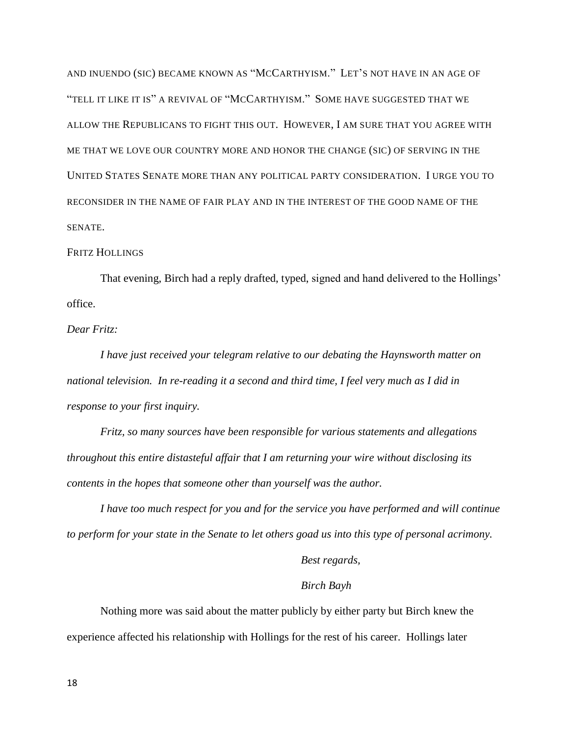AND INUENDO (SIC) BECAME KNOWN AS "MCCARTHYISM." LET'S NOT HAVE IN AN AGE OF "TELL IT LIKE IT IS" A REVIVAL OF "MCCARTHYISM." SOME HAVE SUGGESTED THAT WE ALLOW THE REPUBLICANS TO FIGHT THIS OUT. HOWEVER, I AM SURE THAT YOU AGREE WITH ME THAT WE LOVE OUR COUNTRY MORE AND HONOR THE CHANGE (SIC) OF SERVING IN THE UNITED STATES SENATE MORE THAN ANY POLITICAL PARTY CONSIDERATION. I URGE YOU TO RECONSIDER IN THE NAME OF FAIR PLAY AND IN THE INTEREST OF THE GOOD NAME OF THE SENATE.

## FRITZ HOLLINGS

That evening, Birch had a reply drafted, typed, signed and hand delivered to the Hollings' office.

*Dear Fritz:*

*I have just received your telegram relative to our debating the Haynsworth matter on national television. In re-reading it a second and third time, I feel very much as I did in response to your first inquiry.*

*Fritz, so many sources have been responsible for various statements and allegations throughout this entire distasteful affair that I am returning your wire without disclosing its contents in the hopes that someone other than yourself was the author.*

*I have too much respect for you and for the service you have performed and will continue to perform for your state in the Senate to let others goad us into this type of personal acrimony.*

*Best regards,*

## *Birch Bayh*

Nothing more was said about the matter publicly by either party but Birch knew the experience affected his relationship with Hollings for the rest of his career. Hollings later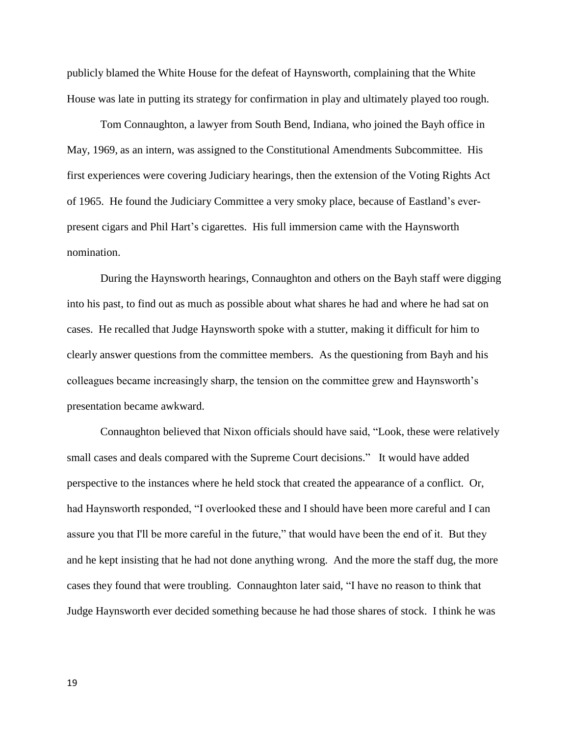publicly blamed the White House for the defeat of Haynsworth, complaining that the White House was late in putting its strategy for confirmation in play and ultimately played too rough.

Tom Connaughton, a lawyer from South Bend, Indiana, who joined the Bayh office in May, 1969, as an intern, was assigned to the Constitutional Amendments Subcommittee. His first experiences were covering Judiciary hearings, then the extension of the Voting Rights Act of 1965. He found the Judiciary Committee a very smoky place, because of Eastland's everpresent cigars and Phil Hart's cigarettes. His full immersion came with the Haynsworth nomination.

During the Haynsworth hearings, Connaughton and others on the Bayh staff were digging into his past, to find out as much as possible about what shares he had and where he had sat on cases. He recalled that Judge Haynsworth spoke with a stutter, making it difficult for him to clearly answer questions from the committee members. As the questioning from Bayh and his colleagues became increasingly sharp, the tension on the committee grew and Haynsworth's presentation became awkward.

Connaughton believed that Nixon officials should have said, "Look, these were relatively small cases and deals compared with the Supreme Court decisions." It would have added perspective to the instances where he held stock that created the appearance of a conflict. Or, had Haynsworth responded, "I overlooked these and I should have been more careful and I can assure you that I'll be more careful in the future," that would have been the end of it. But they and he kept insisting that he had not done anything wrong. And the more the staff dug, the more cases they found that were troubling. Connaughton later said, "I have no reason to think that Judge Haynsworth ever decided something because he had those shares of stock. I think he was

19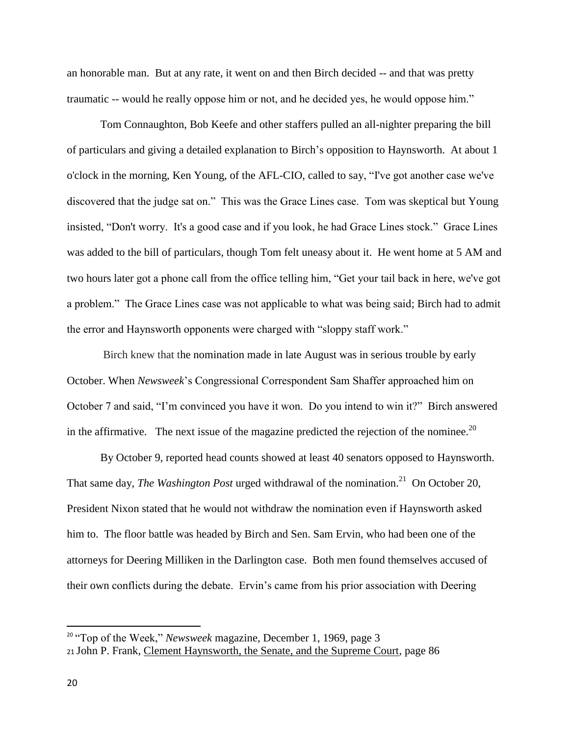an honorable man. But at any rate, it went on and then Birch decided -- and that was pretty traumatic -- would he really oppose him or not, and he decided yes, he would oppose him."

Tom Connaughton, Bob Keefe and other staffers pulled an all-nighter preparing the bill of particulars and giving a detailed explanation to Birch's opposition to Haynsworth. At about 1 o'clock in the morning, Ken Young, of the AFL-CIO, called to say, "I've got another case we've discovered that the judge sat on." This was the Grace Lines case. Tom was skeptical but Young insisted, "Don't worry. It's a good case and if you look, he had Grace Lines stock." Grace Lines was added to the bill of particulars, though Tom felt uneasy about it. He went home at 5 AM and two hours later got a phone call from the office telling him, "Get your tail back in here, we've got a problem." The Grace Lines case was not applicable to what was being said; Birch had to admit the error and Haynsworth opponents were charged with "sloppy staff work."

Birch knew that the nomination made in late August was in serious trouble by early October. When *Newsweek*'s Congressional Correspondent Sam Shaffer approached him on October 7 and said, "I'm convinced you have it won. Do you intend to win it?" Birch answered in the affirmative. The next issue of the magazine predicted the rejection of the nominee.<sup>20</sup>

By October 9, reported head counts showed at least 40 senators opposed to Haynsworth. That same day, *The Washington Post* urged withdrawal of the nomination.<sup>21</sup> On October 20, President Nixon stated that he would not withdraw the nomination even if Haynsworth asked him to. The floor battle was headed by Birch and Sen. Sam Ervin, who had been one of the attorneys for Deering Milliken in the Darlington case. Both men found themselves accused of their own conflicts during the debate. Ervin's came from his prior association with Deering

<sup>&</sup>lt;sup>20</sup> "Top of the Week," *Newsweek* magazine, December 1, 1969, page 3 <sup>21</sup> John P. Frank, Clement Haynsworth, the Senate, and the Supreme Court, page 86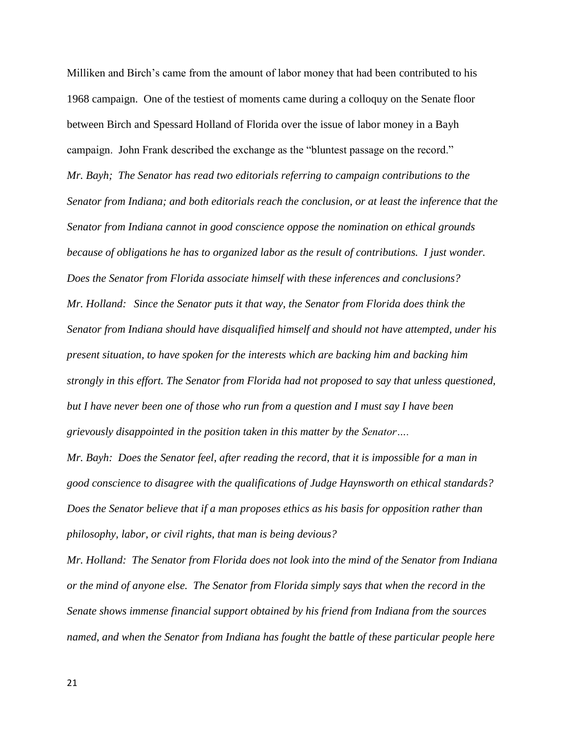Milliken and Birch's came from the amount of labor money that had been contributed to his 1968 campaign. One of the testiest of moments came during a colloquy on the Senate floor between Birch and Spessard Holland of Florida over the issue of labor money in a Bayh campaign. John Frank described the exchange as the "bluntest passage on the record." *Mr. Bayh; The Senator has read two editorials referring to campaign contributions to the Senator from Indiana; and both editorials reach the conclusion, or at least the inference that the Senator from Indiana cannot in good conscience oppose the nomination on ethical grounds because of obligations he has to organized labor as the result of contributions. I just wonder. Does the Senator from Florida associate himself with these inferences and conclusions? Mr. Holland: Since the Senator puts it that way, the Senator from Florida does think the Senator from Indiana should have disqualified himself and should not have attempted, under his present situation, to have spoken for the interests which are backing him and backing him strongly in this effort. The Senator from Florida had not proposed to say that unless questioned, but I have never been one of those who run from a question and I must say I have been grievously disappointed in the position taken in this matter by the Senator….*

*Mr. Bayh: Does the Senator feel, after reading the record, that it is impossible for a man in good conscience to disagree with the qualifications of Judge Haynsworth on ethical standards? Does the Senator believe that if a man proposes ethics as his basis for opposition rather than philosophy, labor, or civil rights, that man is being devious?*

*Mr. Holland: The Senator from Florida does not look into the mind of the Senator from Indiana or the mind of anyone else. The Senator from Florida simply says that when the record in the Senate shows immense financial support obtained by his friend from Indiana from the sources named, and when the Senator from Indiana has fought the battle of these particular people here*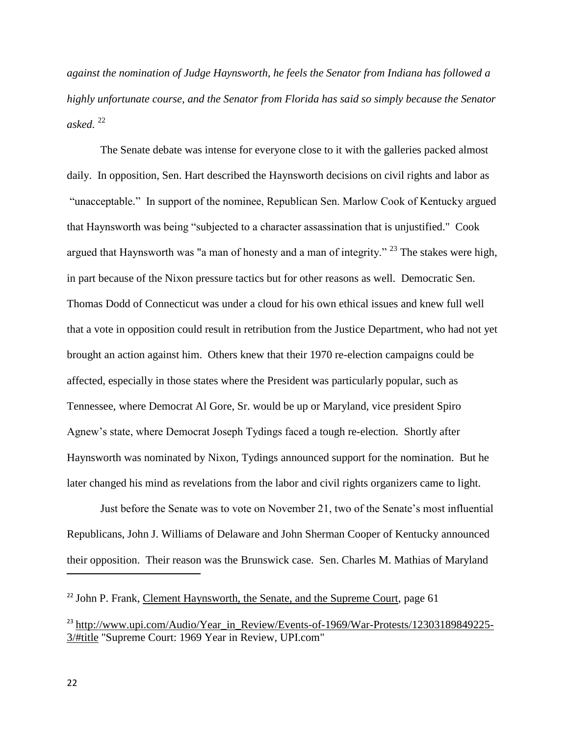*against the nomination of Judge Haynsworth, he feels the Senator from Indiana has followed a highly unfortunate course, and the Senator from Florida has said so simply because the Senator*   $asked.$ <sup>22</sup>

The Senate debate was intense for everyone close to it with the galleries packed almost daily. In opposition, Sen. Hart described the Haynsworth decisions on civil rights and labor as "unacceptable." In support of the nominee, Republican Sen. Marlow Cook of Kentucky argued that Haynsworth was being "subjected to a character assassination that is unjustified." Cook argued that Haynsworth was "a man of honesty and a man of integrity."  $^{23}$  The stakes were high, in part because of the Nixon pressure tactics but for other reasons as well. Democratic Sen. Thomas Dodd of Connecticut was under a cloud for his own ethical issues and knew full well that a vote in opposition could result in retribution from the Justice Department, who had not yet brought an action against him. Others knew that their 1970 re-election campaigns could be affected, especially in those states where the President was particularly popular, such as Tennessee, where Democrat Al Gore, Sr. would be up or Maryland, vice president Spiro Agnew's state, where Democrat Joseph Tydings faced a tough re-election. Shortly after Haynsworth was nominated by Nixon, Tydings announced support for the nomination. But he later changed his mind as revelations from the labor and civil rights organizers came to light.

Just before the Senate was to vote on November 21, two of the Senate's most influential Republicans, John J. Williams of Delaware and John Sherman Cooper of Kentucky announced their opposition. Their reason was the Brunswick case. Sen. Charles M. Mathias of Maryland

<sup>&</sup>lt;sup>22</sup> John P. Frank, Clement Haynsworth, the Senate, and the Supreme Court, page 61

<sup>&</sup>lt;sup>23</sup> [http://www.upi.com/Audio/Year\\_in\\_Review/Events-of-1969/War-Protests/12303189849225-](http://www.upi.com/Audio/Year_in_Review/Events-of-1969/War-Protests/12303189849225-3/#title) [3/#title](http://www.upi.com/Audio/Year_in_Review/Events-of-1969/War-Protests/12303189849225-3/#title) "Supreme Court: 1969 Year in Review, UPI.com"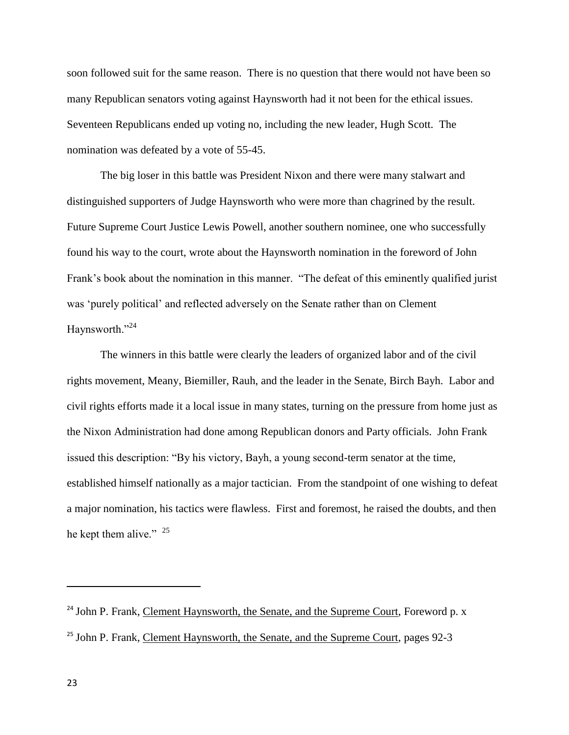soon followed suit for the same reason. There is no question that there would not have been so many Republican senators voting against Haynsworth had it not been for the ethical issues. Seventeen Republicans ended up voting no, including the new leader, Hugh Scott. The nomination was defeated by a vote of 55-45.

The big loser in this battle was President Nixon and there were many stalwart and distinguished supporters of Judge Haynsworth who were more than chagrined by the result. Future Supreme Court Justice Lewis Powell, another southern nominee, one who successfully found his way to the court, wrote about the Haynsworth nomination in the foreword of John Frank's book about the nomination in this manner. "The defeat of this eminently qualified jurist was 'purely political' and reflected adversely on the Senate rather than on Clement Haynsworth."<sup>24</sup>

The winners in this battle were clearly the leaders of organized labor and of the civil rights movement, Meany, Biemiller, Rauh, and the leader in the Senate, Birch Bayh. Labor and civil rights efforts made it a local issue in many states, turning on the pressure from home just as the Nixon Administration had done among Republican donors and Party officials. John Frank issued this description: "By his victory, Bayh, a young second-term senator at the time, established himself nationally as a major tactician. From the standpoint of one wishing to defeat a major nomination, his tactics were flawless. First and foremost, he raised the doubts, and then he kept them alive."  $25$ 

 $\overline{a}$ 

<sup>&</sup>lt;sup>24</sup> John P. Frank, Clement Haynsworth, the Senate, and the Supreme Court, Foreword p. x <sup>25</sup> John P. Frank, Clement Haynsworth, the Senate, and the Supreme Court, pages 92-3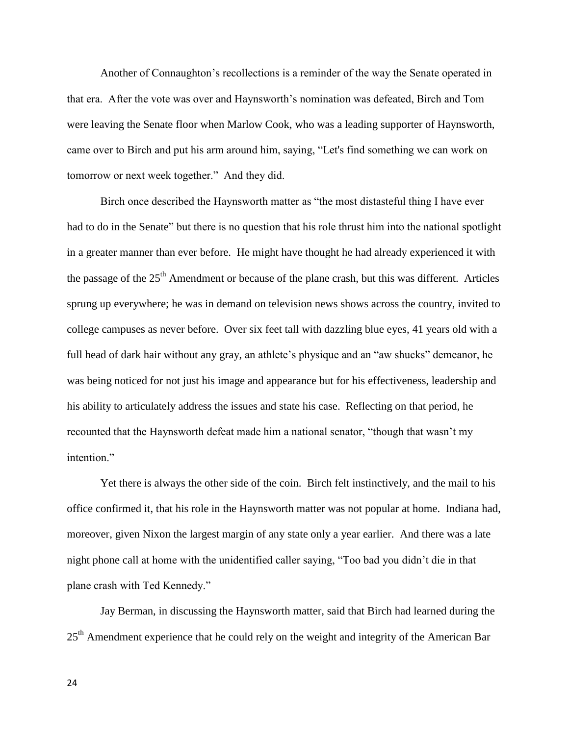Another of Connaughton's recollections is a reminder of the way the Senate operated in that era. After the vote was over and Haynsworth's nomination was defeated, Birch and Tom were leaving the Senate floor when Marlow Cook, who was a leading supporter of Haynsworth, came over to Birch and put his arm around him, saying, "Let's find something we can work on tomorrow or next week together." And they did.

Birch once described the Haynsworth matter as "the most distasteful thing I have ever had to do in the Senate" but there is no question that his role thrust him into the national spotlight in a greater manner than ever before. He might have thought he had already experienced it with the passage of the  $25<sup>th</sup>$  Amendment or because of the plane crash, but this was different. Articles sprung up everywhere; he was in demand on television news shows across the country, invited to college campuses as never before. Over six feet tall with dazzling blue eyes, 41 years old with a full head of dark hair without any gray, an athlete's physique and an "aw shucks" demeanor, he was being noticed for not just his image and appearance but for his effectiveness, leadership and his ability to articulately address the issues and state his case. Reflecting on that period, he recounted that the Haynsworth defeat made him a national senator, "though that wasn't my intention."

Yet there is always the other side of the coin. Birch felt instinctively, and the mail to his office confirmed it, that his role in the Haynsworth matter was not popular at home. Indiana had, moreover, given Nixon the largest margin of any state only a year earlier. And there was a late night phone call at home with the unidentified caller saying, "Too bad you didn't die in that plane crash with Ted Kennedy."

Jay Berman, in discussing the Haynsworth matter, said that Birch had learned during the 25<sup>th</sup> Amendment experience that he could rely on the weight and integrity of the American Bar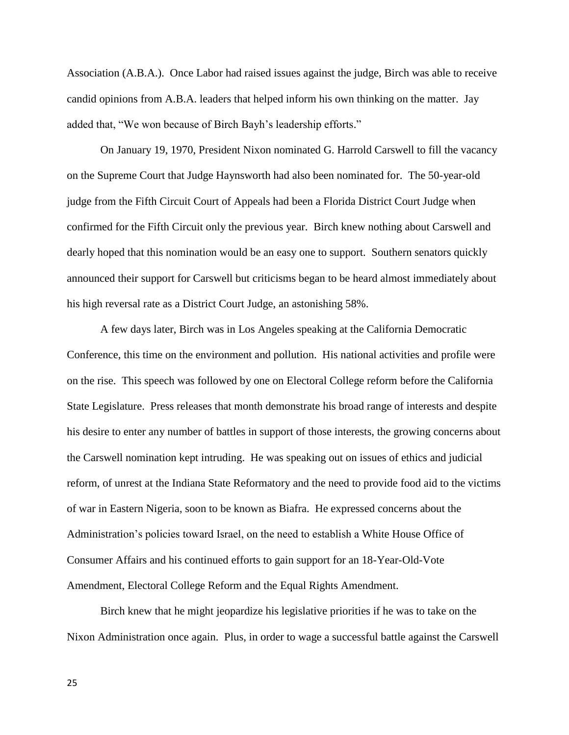Association (A.B.A.). Once Labor had raised issues against the judge, Birch was able to receive candid opinions from A.B.A. leaders that helped inform his own thinking on the matter. Jay added that, "We won because of Birch Bayh's leadership efforts."

On January 19, 1970, President Nixon nominated G. Harrold Carswell to fill the vacancy on the Supreme Court that Judge Haynsworth had also been nominated for. The 50-year-old judge from the Fifth Circuit Court of Appeals had been a Florida District Court Judge when confirmed for the Fifth Circuit only the previous year. Birch knew nothing about Carswell and dearly hoped that this nomination would be an easy one to support. Southern senators quickly announced their support for Carswell but criticisms began to be heard almost immediately about his high reversal rate as a District Court Judge, an astonishing 58%.

A few days later, Birch was in Los Angeles speaking at the California Democratic Conference, this time on the environment and pollution. His national activities and profile were on the rise. This speech was followed by one on Electoral College reform before the California State Legislature. Press releases that month demonstrate his broad range of interests and despite his desire to enter any number of battles in support of those interests, the growing concerns about the Carswell nomination kept intruding. He was speaking out on issues of ethics and judicial reform, of unrest at the Indiana State Reformatory and the need to provide food aid to the victims of war in Eastern Nigeria, soon to be known as Biafra. He expressed concerns about the Administration's policies toward Israel, on the need to establish a White House Office of Consumer Affairs and his continued efforts to gain support for an 18-Year-Old-Vote Amendment, Electoral College Reform and the Equal Rights Amendment.

Birch knew that he might jeopardize his legislative priorities if he was to take on the Nixon Administration once again. Plus, in order to wage a successful battle against the Carswell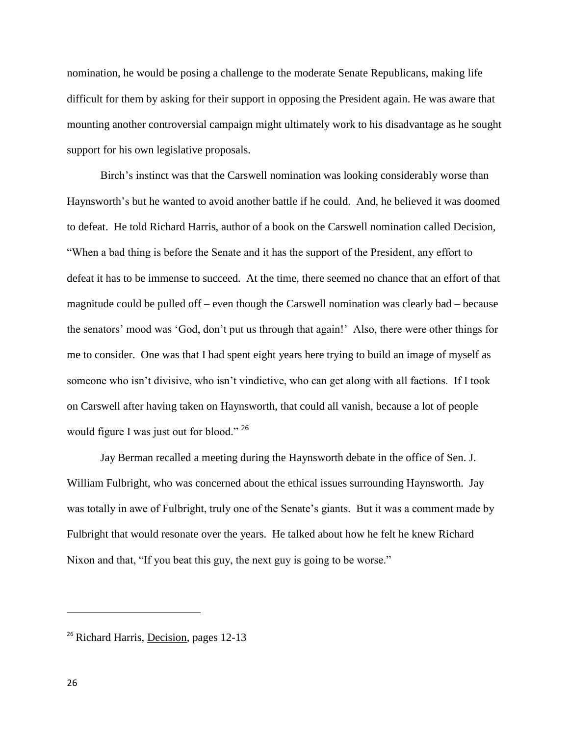nomination, he would be posing a challenge to the moderate Senate Republicans, making life difficult for them by asking for their support in opposing the President again. He was aware that mounting another controversial campaign might ultimately work to his disadvantage as he sought support for his own legislative proposals.

Birch's instinct was that the Carswell nomination was looking considerably worse than Haynsworth's but he wanted to avoid another battle if he could. And, he believed it was doomed to defeat. He told Richard Harris, author of a book on the Carswell nomination called Decision, "When a bad thing is before the Senate and it has the support of the President, any effort to defeat it has to be immense to succeed. At the time, there seemed no chance that an effort of that magnitude could be pulled off – even though the Carswell nomination was clearly bad – because the senators' mood was 'God, don't put us through that again!' Also, there were other things for me to consider. One was that I had spent eight years here trying to build an image of myself as someone who isn't divisive, who isn't vindictive, who can get along with all factions. If I took on Carswell after having taken on Haynsworth, that could all vanish, because a lot of people would figure I was just out for blood." <sup>26</sup>

Jay Berman recalled a meeting during the Haynsworth debate in the office of Sen. J. William Fulbright, who was concerned about the ethical issues surrounding Haynsworth. Jay was totally in awe of Fulbright, truly one of the Senate's giants. But it was a comment made by Fulbright that would resonate over the years. He talked about how he felt he knew Richard Nixon and that, "If you beat this guy, the next guy is going to be worse."

<sup>&</sup>lt;sup>26</sup> Richard Harris, Decision, pages 12-13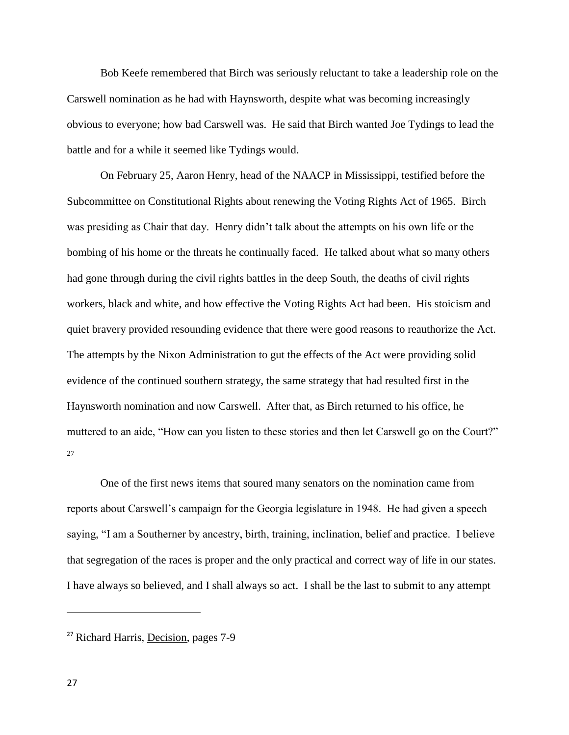Bob Keefe remembered that Birch was seriously reluctant to take a leadership role on the Carswell nomination as he had with Haynsworth, despite what was becoming increasingly obvious to everyone; how bad Carswell was. He said that Birch wanted Joe Tydings to lead the battle and for a while it seemed like Tydings would.

On February 25, Aaron Henry, head of the NAACP in Mississippi, testified before the Subcommittee on Constitutional Rights about renewing the Voting Rights Act of 1965. Birch was presiding as Chair that day. Henry didn't talk about the attempts on his own life or the bombing of his home or the threats he continually faced. He talked about what so many others had gone through during the civil rights battles in the deep South, the deaths of civil rights workers, black and white, and how effective the Voting Rights Act had been. His stoicism and quiet bravery provided resounding evidence that there were good reasons to reauthorize the Act. The attempts by the Nixon Administration to gut the effects of the Act were providing solid evidence of the continued southern strategy, the same strategy that had resulted first in the Haynsworth nomination and now Carswell. After that, as Birch returned to his office, he muttered to an aide, "How can you listen to these stories and then let Carswell go on the Court?" 27

One of the first news items that soured many senators on the nomination came from reports about Carswell's campaign for the Georgia legislature in 1948. He had given a speech saying, "I am a Southerner by ancestry, birth, training, inclination, belief and practice. I believe that segregation of the races is proper and the only practical and correct way of life in our states. I have always so believed, and I shall always so act. I shall be the last to submit to any attempt

<sup>27</sup> Richard Harris, Decision, pages 7-9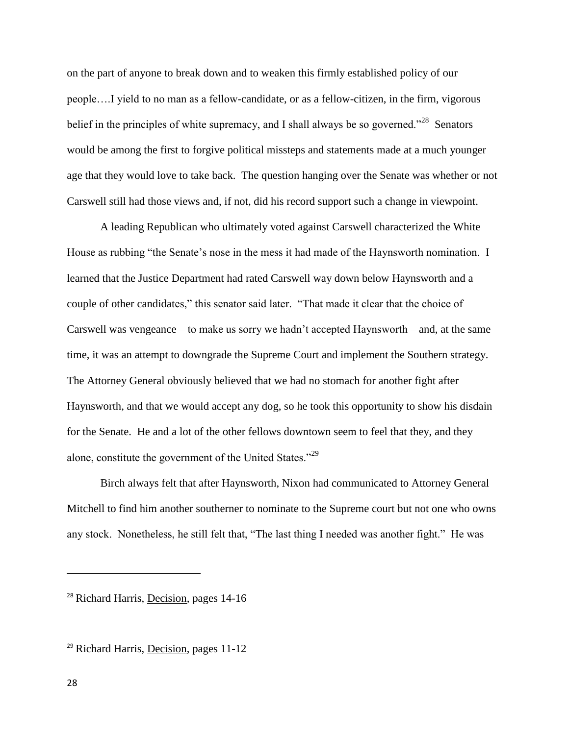on the part of anyone to break down and to weaken this firmly established policy of our people….I yield to no man as a fellow-candidate, or as a fellow-citizen, in the firm, vigorous belief in the principles of white supremacy, and I shall always be so governed."<sup>28</sup> Senators would be among the first to forgive political missteps and statements made at a much younger age that they would love to take back. The question hanging over the Senate was whether or not Carswell still had those views and, if not, did his record support such a change in viewpoint.

A leading Republican who ultimately voted against Carswell characterized the White House as rubbing "the Senate's nose in the mess it had made of the Haynsworth nomination. I learned that the Justice Department had rated Carswell way down below Haynsworth and a couple of other candidates," this senator said later. "That made it clear that the choice of Carswell was vengeance – to make us sorry we hadn't accepted Haynsworth – and, at the same time, it was an attempt to downgrade the Supreme Court and implement the Southern strategy. The Attorney General obviously believed that we had no stomach for another fight after Haynsworth, and that we would accept any dog, so he took this opportunity to show his disdain for the Senate. He and a lot of the other fellows downtown seem to feel that they, and they alone, constitute the government of the United States."<sup>29</sup>

Birch always felt that after Haynsworth, Nixon had communicated to Attorney General Mitchell to find him another southerner to nominate to the Supreme court but not one who owns any stock. Nonetheless, he still felt that, "The last thing I needed was another fight." He was

 $\overline{a}$ 

<sup>&</sup>lt;sup>28</sup> Richard Harris, Decision, pages 14-16

 $29$  Richard Harris, Decision, pages 11-12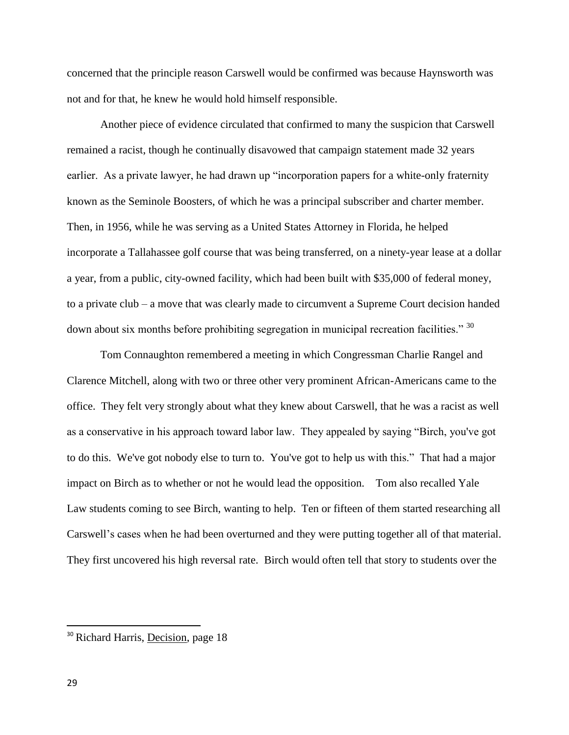concerned that the principle reason Carswell would be confirmed was because Haynsworth was not and for that, he knew he would hold himself responsible.

Another piece of evidence circulated that confirmed to many the suspicion that Carswell remained a racist, though he continually disavowed that campaign statement made 32 years earlier. As a private lawyer, he had drawn up "incorporation papers for a white-only fraternity known as the Seminole Boosters, of which he was a principal subscriber and charter member. Then, in 1956, while he was serving as a United States Attorney in Florida, he helped incorporate a Tallahassee golf course that was being transferred, on a ninety-year lease at a dollar a year, from a public, city-owned facility, which had been built with \$35,000 of federal money, to a private club – a move that was clearly made to circumvent a Supreme Court decision handed down about six months before prohibiting segregation in municipal recreation facilities."<sup>30</sup>

Tom Connaughton remembered a meeting in which Congressman Charlie Rangel and Clarence Mitchell, along with two or three other very prominent African-Americans came to the office. They felt very strongly about what they knew about Carswell, that he was a racist as well as a conservative in his approach toward labor law. They appealed by saying "Birch, you've got to do this. We've got nobody else to turn to. You've got to help us with this." That had a major impact on Birch as to whether or not he would lead the opposition. Tom also recalled Yale Law students coming to see Birch, wanting to help. Ten or fifteen of them started researching all Carswell's cases when he had been overturned and they were putting together all of that material. They first uncovered his high reversal rate. Birch would often tell that story to students over the

<sup>&</sup>lt;sup>30</sup> Richard Harris, Decision, page 18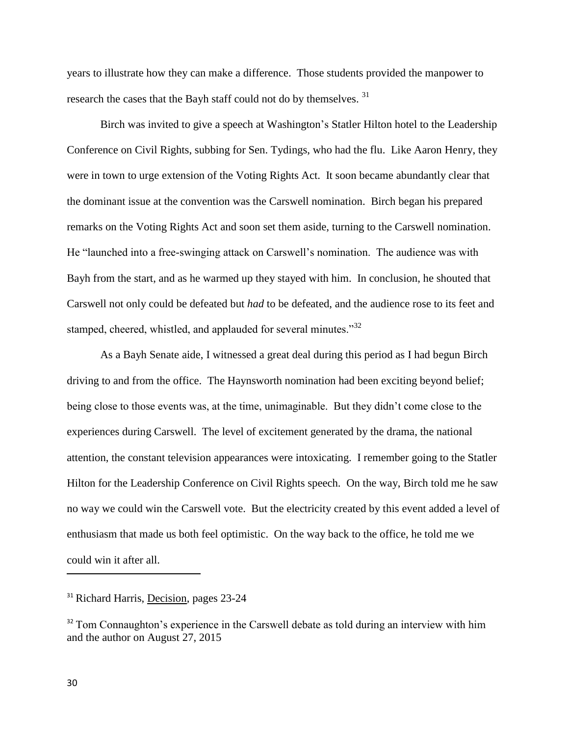years to illustrate how they can make a difference. Those students provided the manpower to research the cases that the Bayh staff could not do by themselves.<sup>31</sup>

Birch was invited to give a speech at Washington's Statler Hilton hotel to the Leadership Conference on Civil Rights, subbing for Sen. Tydings, who had the flu. Like Aaron Henry, they were in town to urge extension of the Voting Rights Act. It soon became abundantly clear that the dominant issue at the convention was the Carswell nomination. Birch began his prepared remarks on the Voting Rights Act and soon set them aside, turning to the Carswell nomination. He "launched into a free-swinging attack on Carswell's nomination. The audience was with Bayh from the start, and as he warmed up they stayed with him. In conclusion, he shouted that Carswell not only could be defeated but *had* to be defeated, and the audience rose to its feet and stamped, cheered, whistled, and applauded for several minutes."<sup>32</sup>

As a Bayh Senate aide, I witnessed a great deal during this period as I had begun Birch driving to and from the office. The Haynsworth nomination had been exciting beyond belief; being close to those events was, at the time, unimaginable. But they didn't come close to the experiences during Carswell. The level of excitement generated by the drama, the national attention, the constant television appearances were intoxicating. I remember going to the Statler Hilton for the Leadership Conference on Civil Rights speech. On the way, Birch told me he saw no way we could win the Carswell vote. But the electricity created by this event added a level of enthusiasm that made us both feel optimistic. On the way back to the office, he told me we could win it after all.

<sup>&</sup>lt;sup>31</sup> Richard Harris, Decision, pages 23-24

<sup>&</sup>lt;sup>32</sup> Tom Connaughton's experience in the Carswell debate as told during an interview with him and the author on August 27, 2015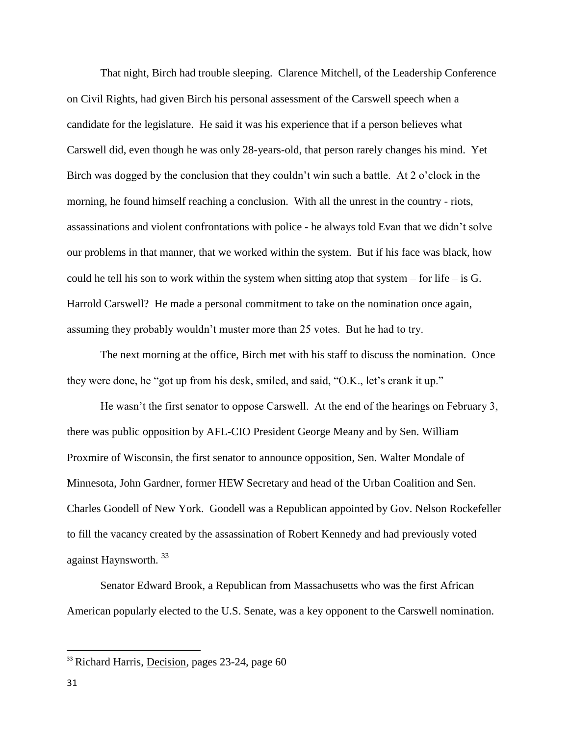That night, Birch had trouble sleeping. Clarence Mitchell, of the Leadership Conference on Civil Rights, had given Birch his personal assessment of the Carswell speech when a candidate for the legislature. He said it was his experience that if a person believes what Carswell did, even though he was only 28-years-old, that person rarely changes his mind. Yet Birch was dogged by the conclusion that they couldn't win such a battle. At 2 o'clock in the morning, he found himself reaching a conclusion. With all the unrest in the country - riots, assassinations and violent confrontations with police - he always told Evan that we didn't solve our problems in that manner, that we worked within the system. But if his face was black, how could he tell his son to work within the system when sitting atop that system – for life – is  $G$ . Harrold Carswell? He made a personal commitment to take on the nomination once again, assuming they probably wouldn't muster more than 25 votes. But he had to try.

The next morning at the office, Birch met with his staff to discuss the nomination. Once they were done, he "got up from his desk, smiled, and said, "O.K., let's crank it up."

He wasn't the first senator to oppose Carswell. At the end of the hearings on February 3, there was public opposition by AFL-CIO President George Meany and by Sen. William Proxmire of Wisconsin, the first senator to announce opposition, Sen. Walter Mondale of Minnesota, John Gardner, former HEW Secretary and head of the Urban Coalition and Sen. Charles Goodell of New York. Goodell was a Republican appointed by Gov. Nelson Rockefeller to fill the vacancy created by the assassination of Robert Kennedy and had previously voted against Haynsworth. <sup>33</sup>

Senator Edward Brook, a Republican from Massachusetts who was the first African American popularly elected to the U.S. Senate, was a key opponent to the Carswell nomination.

 $\overline{a}$ 

<sup>&</sup>lt;sup>33</sup> Richard Harris, Decision, pages 23-24, page 60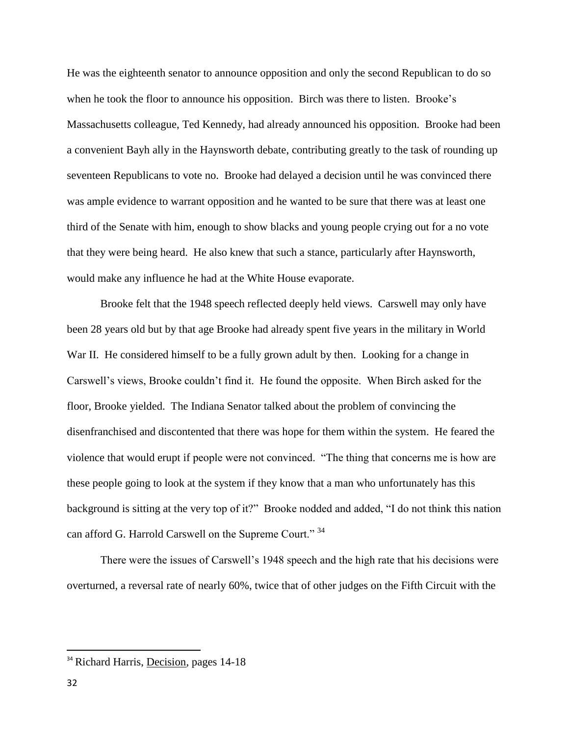He was the eighteenth senator to announce opposition and only the second Republican to do so when he took the floor to announce his opposition. Birch was there to listen. Brooke's Massachusetts colleague, Ted Kennedy, had already announced his opposition. Brooke had been a convenient Bayh ally in the Haynsworth debate, contributing greatly to the task of rounding up seventeen Republicans to vote no. Brooke had delayed a decision until he was convinced there was ample evidence to warrant opposition and he wanted to be sure that there was at least one third of the Senate with him, enough to show blacks and young people crying out for a no vote that they were being heard. He also knew that such a stance, particularly after Haynsworth, would make any influence he had at the White House evaporate.

Brooke felt that the 1948 speech reflected deeply held views. Carswell may only have been 28 years old but by that age Brooke had already spent five years in the military in World War II. He considered himself to be a fully grown adult by then. Looking for a change in Carswell's views, Brooke couldn't find it. He found the opposite. When Birch asked for the floor, Brooke yielded. The Indiana Senator talked about the problem of convincing the disenfranchised and discontented that there was hope for them within the system. He feared the violence that would erupt if people were not convinced. "The thing that concerns me is how are these people going to look at the system if they know that a man who unfortunately has this background is sitting at the very top of it?" Brooke nodded and added, "I do not think this nation can afford G. Harrold Carswell on the Supreme Court."<sup>34</sup>

There were the issues of Carswell's 1948 speech and the high rate that his decisions were overturned, a reversal rate of nearly 60%, twice that of other judges on the Fifth Circuit with the

 $\overline{a}$ 

<sup>&</sup>lt;sup>34</sup> Richard Harris, Decision, pages 14-18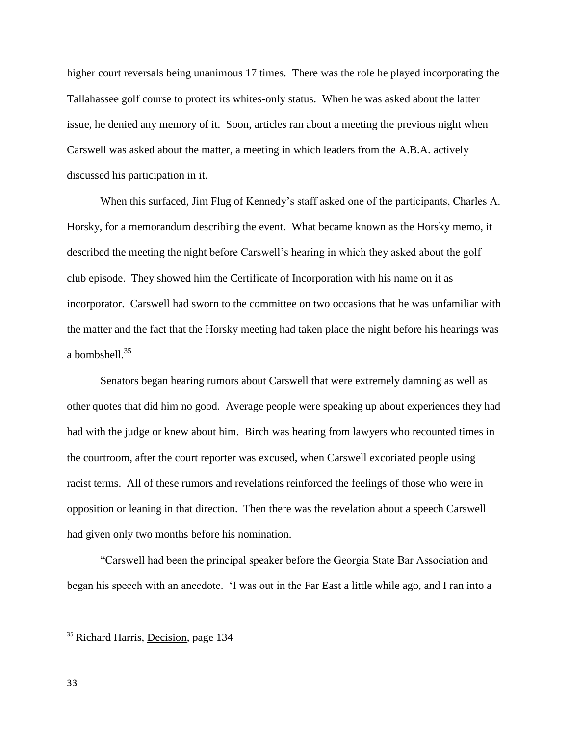higher court reversals being unanimous 17 times. There was the role he played incorporating the Tallahassee golf course to protect its whites-only status. When he was asked about the latter issue, he denied any memory of it. Soon, articles ran about a meeting the previous night when Carswell was asked about the matter, a meeting in which leaders from the A.B.A. actively discussed his participation in it.

When this surfaced, Jim Flug of Kennedy's staff asked one of the participants, Charles A. Horsky, for a memorandum describing the event. What became known as the Horsky memo, it described the meeting the night before Carswell's hearing in which they asked about the golf club episode. They showed him the Certificate of Incorporation with his name on it as incorporator. Carswell had sworn to the committee on two occasions that he was unfamiliar with the matter and the fact that the Horsky meeting had taken place the night before his hearings was a bombshell.<sup>35</sup>

Senators began hearing rumors about Carswell that were extremely damning as well as other quotes that did him no good. Average people were speaking up about experiences they had had with the judge or knew about him. Birch was hearing from lawyers who recounted times in the courtroom, after the court reporter was excused, when Carswell excoriated people using racist terms. All of these rumors and revelations reinforced the feelings of those who were in opposition or leaning in that direction. Then there was the revelation about a speech Carswell had given only two months before his nomination.

"Carswell had been the principal speaker before the Georgia State Bar Association and began his speech with an anecdote. 'I was out in the Far East a little while ago, and I ran into a

<sup>&</sup>lt;sup>35</sup> Richard Harris, Decision, page 134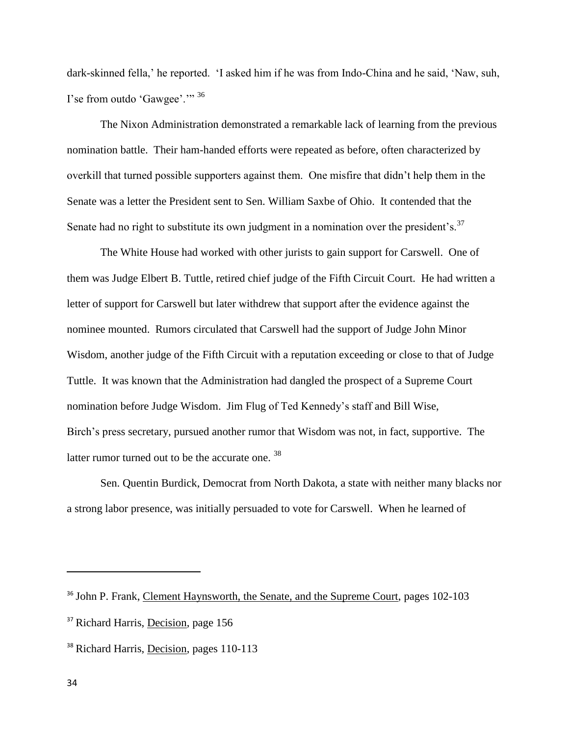dark-skinned fella,' he reported. 'I asked him if he was from Indo-China and he said, 'Naw, suh, I'se from outdo 'Gawgee'."<sup>36</sup>

The Nixon Administration demonstrated a remarkable lack of learning from the previous nomination battle. Their ham-handed efforts were repeated as before, often characterized by overkill that turned possible supporters against them. One misfire that didn't help them in the Senate was a letter the President sent to Sen. William Saxbe of Ohio. It contended that the Senate had no right to substitute its own judgment in a nomination over the president's.<sup>37</sup>

The White House had worked with other jurists to gain support for Carswell. One of them was Judge Elbert B. Tuttle, retired chief judge of the Fifth Circuit Court. He had written a letter of support for Carswell but later withdrew that support after the evidence against the nominee mounted. Rumors circulated that Carswell had the support of Judge John Minor Wisdom, another judge of the Fifth Circuit with a reputation exceeding or close to that of Judge Tuttle. It was known that the Administration had dangled the prospect of a Supreme Court nomination before Judge Wisdom. Jim Flug of Ted Kennedy's staff and Bill Wise, Birch's press secretary, pursued another rumor that Wisdom was not, in fact, supportive. The latter rumor turned out to be the accurate one.<sup>38</sup>

Sen. Quentin Burdick, Democrat from North Dakota, a state with neither many blacks nor a strong labor presence, was initially persuaded to vote for Carswell. When he learned of

<sup>&</sup>lt;sup>36</sup> John P. Frank, Clement Haynsworth, the Senate, and the Supreme Court, pages 102-103 <sup>37</sup> Richard Harris, Decision, page 156

<sup>&</sup>lt;sup>38</sup> Richard Harris, Decision, pages 110-113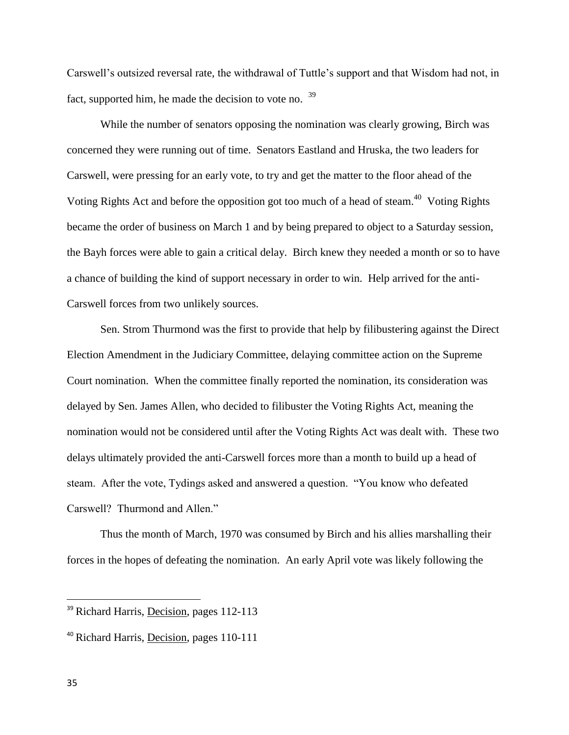Carswell's outsized reversal rate, the withdrawal of Tuttle's support and that Wisdom had not, in fact, supported him, he made the decision to vote no. <sup>39</sup>

While the number of senators opposing the nomination was clearly growing, Birch was concerned they were running out of time. Senators Eastland and Hruska, the two leaders for Carswell, were pressing for an early vote, to try and get the matter to the floor ahead of the Voting Rights Act and before the opposition got too much of a head of steam.<sup>40</sup> Voting Rights became the order of business on March 1 and by being prepared to object to a Saturday session, the Bayh forces were able to gain a critical delay. Birch knew they needed a month or so to have a chance of building the kind of support necessary in order to win. Help arrived for the anti-Carswell forces from two unlikely sources.

Sen. Strom Thurmond was the first to provide that help by filibustering against the Direct Election Amendment in the Judiciary Committee, delaying committee action on the Supreme Court nomination. When the committee finally reported the nomination, its consideration was delayed by Sen. James Allen, who decided to filibuster the Voting Rights Act, meaning the nomination would not be considered until after the Voting Rights Act was dealt with. These two delays ultimately provided the anti-Carswell forces more than a month to build up a head of steam. After the vote, Tydings asked and answered a question. "You know who defeated Carswell? Thurmond and Allen."

Thus the month of March, 1970 was consumed by Birch and his allies marshalling their forces in the hopes of defeating the nomination. An early April vote was likely following the

<sup>&</sup>lt;sup>39</sup> Richard Harris, Decision, pages 112-113

<sup>40</sup> Richard Harris, Decision, pages 110-111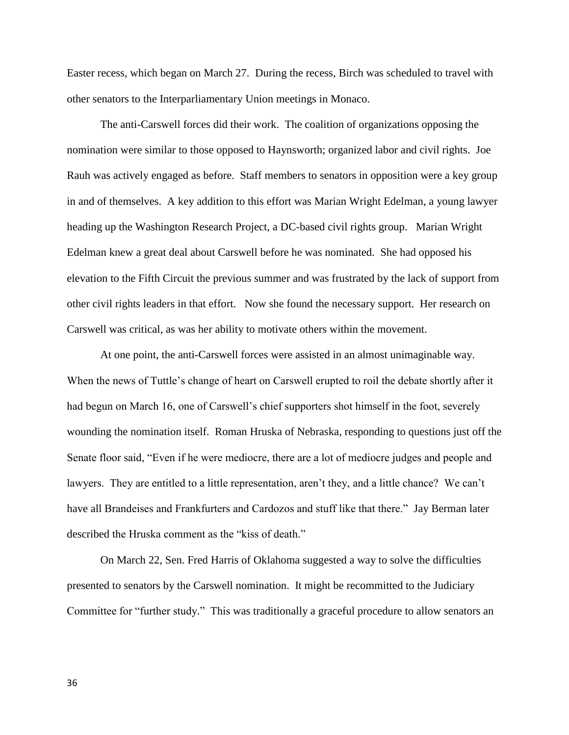Easter recess, which began on March 27. During the recess, Birch was scheduled to travel with other senators to the Interparliamentary Union meetings in Monaco.

The anti-Carswell forces did their work. The coalition of organizations opposing the nomination were similar to those opposed to Haynsworth; organized labor and civil rights. Joe Rauh was actively engaged as before. Staff members to senators in opposition were a key group in and of themselves. A key addition to this effort was Marian Wright Edelman, a young lawyer heading up the Washington Research Project, a DC-based civil rights group. Marian Wright Edelman knew a great deal about Carswell before he was nominated. She had opposed his elevation to the Fifth Circuit the previous summer and was frustrated by the lack of support from other civil rights leaders in that effort. Now she found the necessary support. Her research on Carswell was critical, as was her ability to motivate others within the movement.

At one point, the anti-Carswell forces were assisted in an almost unimaginable way. When the news of Tuttle's change of heart on Carswell erupted to roil the debate shortly after it had begun on March 16, one of Carswell's chief supporters shot himself in the foot, severely wounding the nomination itself. Roman Hruska of Nebraska, responding to questions just off the Senate floor said, "Even if he were mediocre, there are a lot of mediocre judges and people and lawyers. They are entitled to a little representation, aren't they, and a little chance? We can't have all Brandeises and Frankfurters and Cardozos and stuff like that there." Jay Berman later described the Hruska comment as the "kiss of death."

On March 22, Sen. Fred Harris of Oklahoma suggested a way to solve the difficulties presented to senators by the Carswell nomination. It might be recommitted to the Judiciary Committee for "further study." This was traditionally a graceful procedure to allow senators an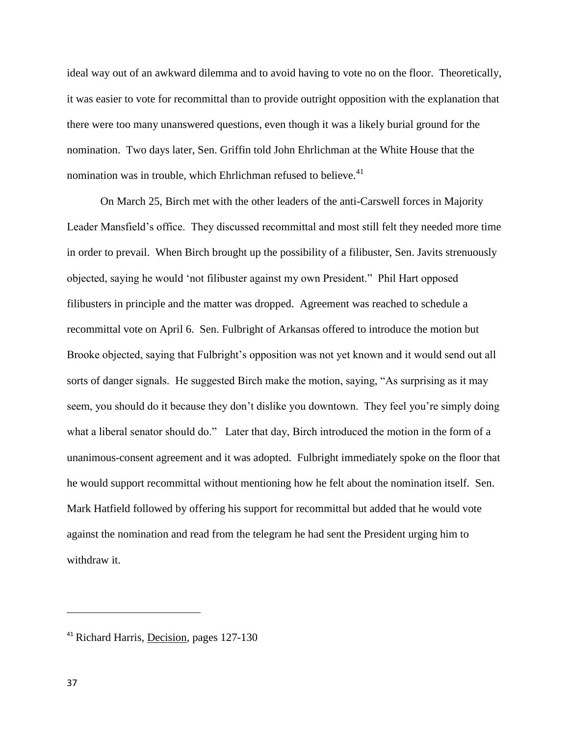ideal way out of an awkward dilemma and to avoid having to vote no on the floor. Theoretically, it was easier to vote for recommittal than to provide outright opposition with the explanation that there were too many unanswered questions, even though it was a likely burial ground for the nomination. Two days later, Sen. Griffin told John Ehrlichman at the White House that the nomination was in trouble, which Ehrlichman refused to believe.<sup>41</sup>

On March 25, Birch met with the other leaders of the anti-Carswell forces in Majority Leader Mansfield's office. They discussed recommittal and most still felt they needed more time in order to prevail. When Birch brought up the possibility of a filibuster, Sen. Javits strenuously objected, saying he would 'not filibuster against my own President." Phil Hart opposed filibusters in principle and the matter was dropped. Agreement was reached to schedule a recommittal vote on April 6. Sen. Fulbright of Arkansas offered to introduce the motion but Brooke objected, saying that Fulbright's opposition was not yet known and it would send out all sorts of danger signals. He suggested Birch make the motion, saying, "As surprising as it may seem, you should do it because they don't dislike you downtown. They feel you're simply doing what a liberal senator should do." Later that day, Birch introduced the motion in the form of a unanimous-consent agreement and it was adopted. Fulbright immediately spoke on the floor that he would support recommittal without mentioning how he felt about the nomination itself. Sen. Mark Hatfield followed by offering his support for recommittal but added that he would vote against the nomination and read from the telegram he had sent the President urging him to withdraw it.

<sup>41</sup> Richard Harris, Decision, pages 127-130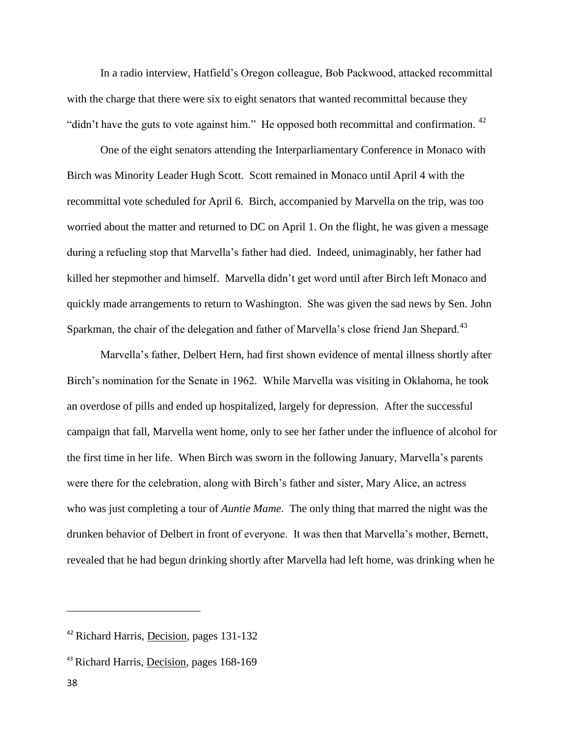In a radio interview, Hatfield's Oregon colleague, Bob Packwood, attacked recommittal with the charge that there were six to eight senators that wanted recommittal because they "didn't have the guts to vote against him." He opposed both recommittal and confirmation.  $42$ 

One of the eight senators attending the Interparliamentary Conference in Monaco with Birch was Minority Leader Hugh Scott. Scott remained in Monaco until April 4 with the recommittal vote scheduled for April 6. Birch, accompanied by Marvella on the trip, was too worried about the matter and returned to DC on April 1. On the flight, he was given a message during a refueling stop that Marvella's father had died. Indeed, unimaginably, her father had killed her stepmother and himself. Marvella didn't get word until after Birch left Monaco and quickly made arrangements to return to Washington. She was given the sad news by Sen. John Sparkman, the chair of the delegation and father of Marvella's close friend Jan Shepard.<sup>43</sup>

Marvella's father, Delbert Hern, had first shown evidence of mental illness shortly after Birch's nomination for the Senate in 1962. While Marvella was visiting in Oklahoma, he took an overdose of pills and ended up hospitalized, largely for depression. After the successful campaign that fall, Marvella went home, only to see her father under the influence of alcohol for the first time in her life. When Birch was sworn in the following January, Marvella's parents were there for the celebration, along with Birch's father and sister, Mary Alice, an actress who was just completing a tour of *Auntie Mame*. The only thing that marred the night was the drunken behavior of Delbert in front of everyone. It was then that Marvella's mother, Bernett, revealed that he had begun drinking shortly after Marvella had left home, was drinking when he

<sup>&</sup>lt;sup>42</sup> Richard Harris, Decision, pages 131-132

<sup>43</sup> Richard Harris, Decision, pages 168-169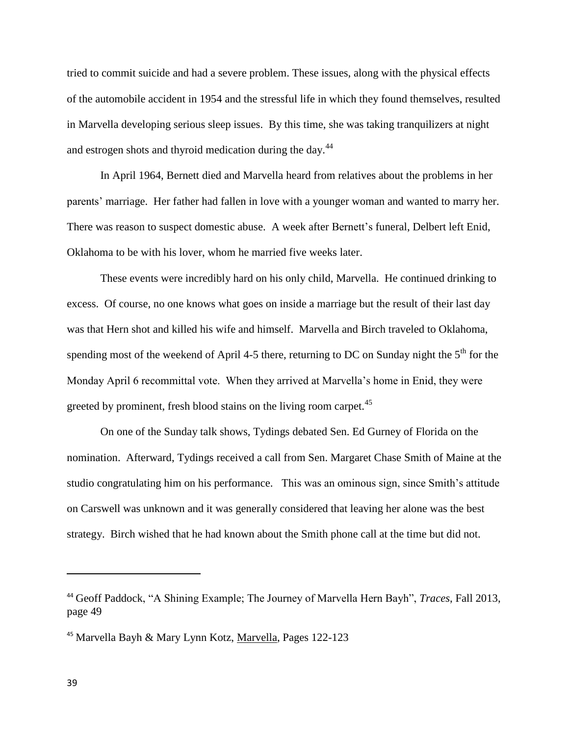tried to commit suicide and had a severe problem. These issues, along with the physical effects of the automobile accident in 1954 and the stressful life in which they found themselves, resulted in Marvella developing serious sleep issues. By this time, she was taking tranquilizers at night and estrogen shots and thyroid medication during the day.<sup>44</sup>

In April 1964, Bernett died and Marvella heard from relatives about the problems in her parents' marriage. Her father had fallen in love with a younger woman and wanted to marry her. There was reason to suspect domestic abuse. A week after Bernett's funeral, Delbert left Enid, Oklahoma to be with his lover, whom he married five weeks later.

These events were incredibly hard on his only child, Marvella. He continued drinking to excess. Of course, no one knows what goes on inside a marriage but the result of their last day was that Hern shot and killed his wife and himself. Marvella and Birch traveled to Oklahoma, spending most of the weekend of April 4-5 there, returning to DC on Sunday night the  $5<sup>th</sup>$  for the Monday April 6 recommittal vote. When they arrived at Marvella's home in Enid, they were greeted by prominent, fresh blood stains on the living room carpet.<sup>45</sup>

On one of the Sunday talk shows, Tydings debated Sen. Ed Gurney of Florida on the nomination. Afterward, Tydings received a call from Sen. Margaret Chase Smith of Maine at the studio congratulating him on his performance. This was an ominous sign, since Smith's attitude on Carswell was unknown and it was generally considered that leaving her alone was the best strategy. Birch wished that he had known about the Smith phone call at the time but did not.

<sup>44</sup> Geoff Paddock, "A Shining Example; The Journey of Marvella Hern Bayh", *Traces*, Fall 2013, page 49

<sup>45</sup> Marvella Bayh & Mary Lynn Kotz, Marvella, Pages 122-123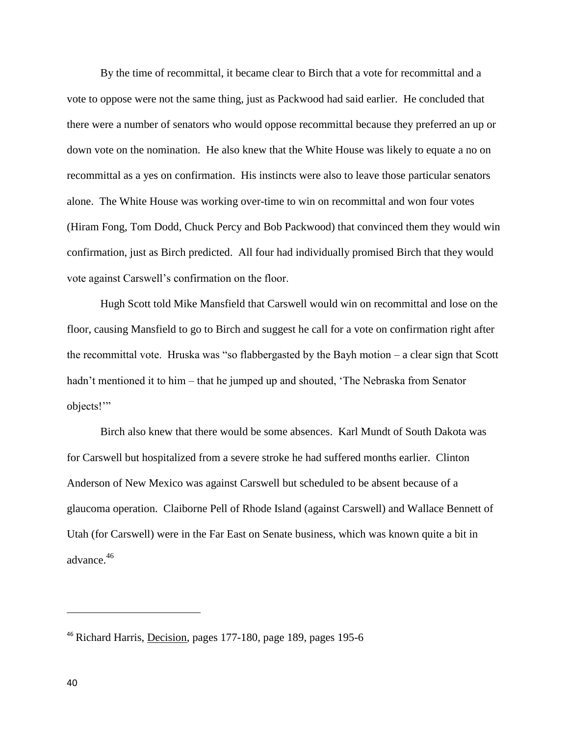By the time of recommittal, it became clear to Birch that a vote for recommittal and a vote to oppose were not the same thing, just as Packwood had said earlier. He concluded that there were a number of senators who would oppose recommittal because they preferred an up or down vote on the nomination. He also knew that the White House was likely to equate a no on recommittal as a yes on confirmation. His instincts were also to leave those particular senators alone. The White House was working over-time to win on recommittal and won four votes (Hiram Fong, Tom Dodd, Chuck Percy and Bob Packwood) that convinced them they would win confirmation, just as Birch predicted. All four had individually promised Birch that they would vote against Carswell's confirmation on the floor.

Hugh Scott told Mike Mansfield that Carswell would win on recommittal and lose on the floor, causing Mansfield to go to Birch and suggest he call for a vote on confirmation right after the recommittal vote. Hruska was "so flabbergasted by the Bayh motion – a clear sign that Scott hadn't mentioned it to him – that he jumped up and shouted, 'The Nebraska from Senator objects!'"

Birch also knew that there would be some absences. Karl Mundt of South Dakota was for Carswell but hospitalized from a severe stroke he had suffered months earlier. Clinton Anderson of New Mexico was against Carswell but scheduled to be absent because of a glaucoma operation. Claiborne Pell of Rhode Island (against Carswell) and Wallace Bennett of Utah (for Carswell) were in the Far East on Senate business, which was known quite a bit in advance.<sup>46</sup>

<sup>46</sup> Richard Harris, Decision, pages 177-180, page 189, pages 195-6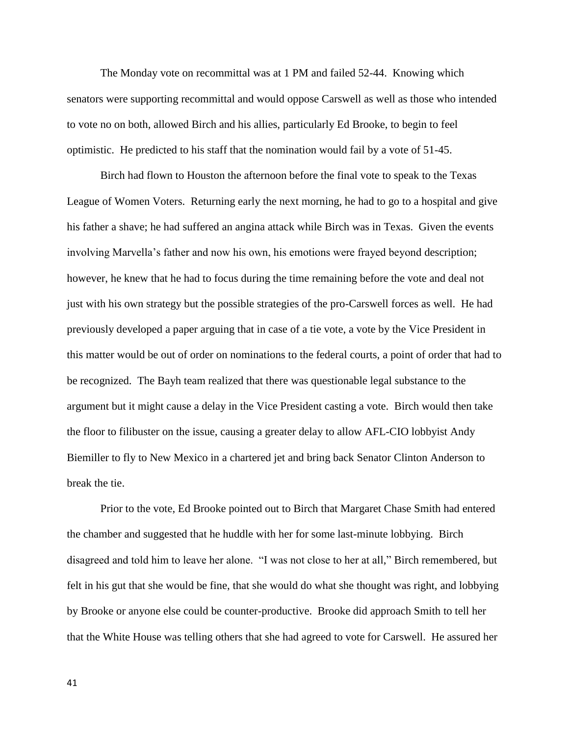The Monday vote on recommittal was at 1 PM and failed 52-44. Knowing which senators were supporting recommittal and would oppose Carswell as well as those who intended to vote no on both, allowed Birch and his allies, particularly Ed Brooke, to begin to feel optimistic. He predicted to his staff that the nomination would fail by a vote of 51-45.

Birch had flown to Houston the afternoon before the final vote to speak to the Texas League of Women Voters. Returning early the next morning, he had to go to a hospital and give his father a shave; he had suffered an angina attack while Birch was in Texas. Given the events involving Marvella's father and now his own, his emotions were frayed beyond description; however, he knew that he had to focus during the time remaining before the vote and deal not just with his own strategy but the possible strategies of the pro-Carswell forces as well. He had previously developed a paper arguing that in case of a tie vote, a vote by the Vice President in this matter would be out of order on nominations to the federal courts, a point of order that had to be recognized. The Bayh team realized that there was questionable legal substance to the argument but it might cause a delay in the Vice President casting a vote. Birch would then take the floor to filibuster on the issue, causing a greater delay to allow AFL-CIO lobbyist Andy Biemiller to fly to New Mexico in a chartered jet and bring back Senator Clinton Anderson to break the tie.

Prior to the vote, Ed Brooke pointed out to Birch that Margaret Chase Smith had entered the chamber and suggested that he huddle with her for some last-minute lobbying. Birch disagreed and told him to leave her alone. "I was not close to her at all," Birch remembered, but felt in his gut that she would be fine, that she would do what she thought was right, and lobbying by Brooke or anyone else could be counter-productive. Brooke did approach Smith to tell her that the White House was telling others that she had agreed to vote for Carswell. He assured her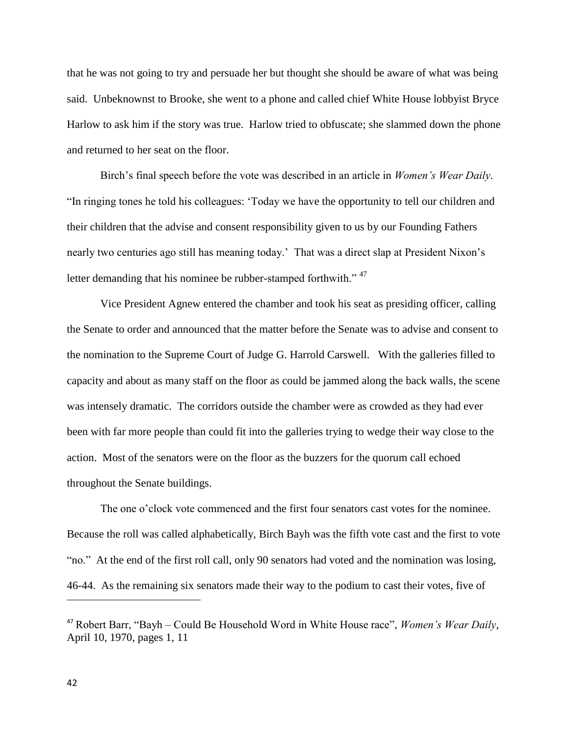that he was not going to try and persuade her but thought she should be aware of what was being said. Unbeknownst to Brooke, she went to a phone and called chief White House lobbyist Bryce Harlow to ask him if the story was true. Harlow tried to obfuscate; she slammed down the phone and returned to her seat on the floor.

Birch's final speech before the vote was described in an article in *Women's Wear Daily*. "In ringing tones he told his colleagues: 'Today we have the opportunity to tell our children and their children that the advise and consent responsibility given to us by our Founding Fathers nearly two centuries ago still has meaning today.' That was a direct slap at President Nixon's letter demanding that his nominee be rubber-stamped forthwith."<sup>47</sup>

Vice President Agnew entered the chamber and took his seat as presiding officer, calling the Senate to order and announced that the matter before the Senate was to advise and consent to the nomination to the Supreme Court of Judge G. Harrold Carswell. With the galleries filled to capacity and about as many staff on the floor as could be jammed along the back walls, the scene was intensely dramatic. The corridors outside the chamber were as crowded as they had ever been with far more people than could fit into the galleries trying to wedge their way close to the action. Most of the senators were on the floor as the buzzers for the quorum call echoed throughout the Senate buildings.

The one o'clock vote commenced and the first four senators cast votes for the nominee. Because the roll was called alphabetically, Birch Bayh was the fifth vote cast and the first to vote "no." At the end of the first roll call, only 90 senators had voted and the nomination was losing, 46-44. As the remaining six senators made their way to the podium to cast their votes, five of

<sup>47</sup> Robert Barr, "Bayh – Could Be Household Word in White House race", *Women's Wear Daily*, April 10, 1970, pages 1, 11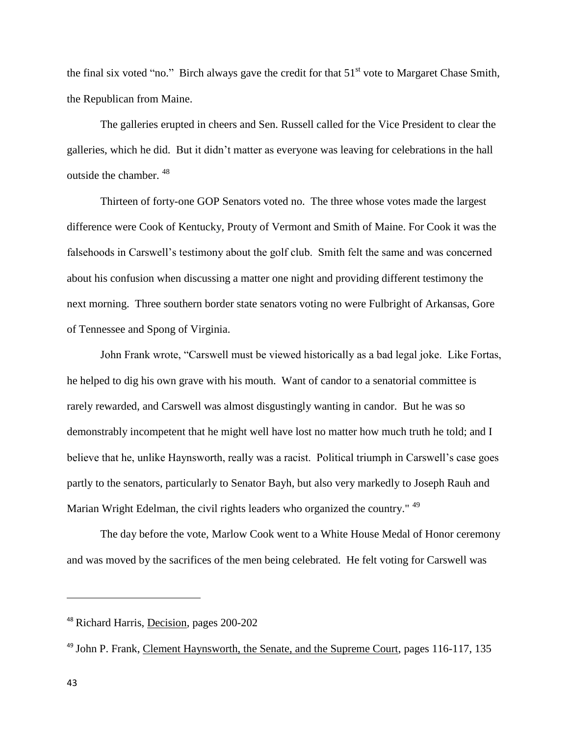the final six voted "no." Birch always gave the credit for that  $51<sup>st</sup>$  vote to Margaret Chase Smith, the Republican from Maine.

The galleries erupted in cheers and Sen. Russell called for the Vice President to clear the galleries, which he did. But it didn't matter as everyone was leaving for celebrations in the hall outside the chamber. <sup>48</sup>

Thirteen of forty-one GOP Senators voted no. The three whose votes made the largest difference were Cook of Kentucky, Prouty of Vermont and Smith of Maine. For Cook it was the falsehoods in Carswell's testimony about the golf club. Smith felt the same and was concerned about his confusion when discussing a matter one night and providing different testimony the next morning. Three southern border state senators voting no were Fulbright of Arkansas, Gore of Tennessee and Spong of Virginia.

John Frank wrote, "Carswell must be viewed historically as a bad legal joke. Like Fortas, he helped to dig his own grave with his mouth. Want of candor to a senatorial committee is rarely rewarded, and Carswell was almost disgustingly wanting in candor. But he was so demonstrably incompetent that he might well have lost no matter how much truth he told; and I believe that he, unlike Haynsworth, really was a racist. Political triumph in Carswell's case goes partly to the senators, particularly to Senator Bayh, but also very markedly to Joseph Rauh and Marian Wright Edelman, the civil rights leaders who organized the country." <sup>49</sup>

The day before the vote, Marlow Cook went to a White House Medal of Honor ceremony and was moved by the sacrifices of the men being celebrated. He felt voting for Carswell was

<sup>48</sup> Richard Harris, Decision, pages 200-202

<sup>&</sup>lt;sup>49</sup> John P. Frank, Clement Haynsworth, the Senate, and the Supreme Court, pages 116-117, 135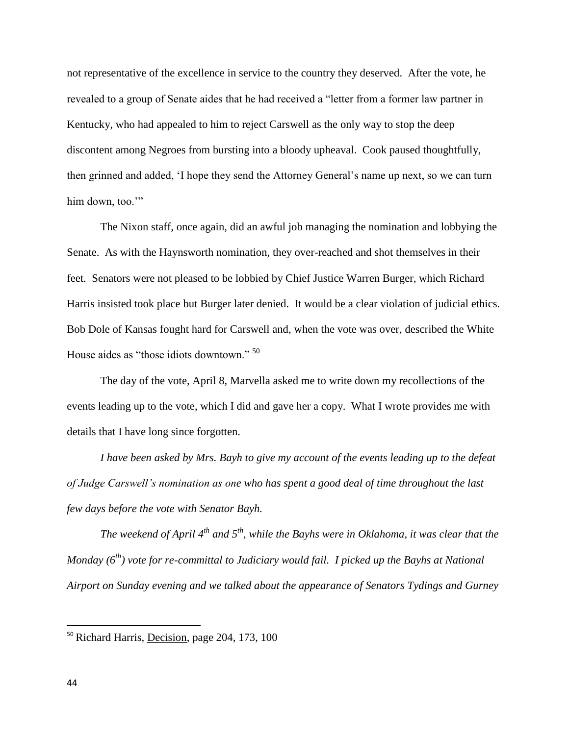not representative of the excellence in service to the country they deserved. After the vote, he revealed to a group of Senate aides that he had received a "letter from a former law partner in Kentucky, who had appealed to him to reject Carswell as the only way to stop the deep discontent among Negroes from bursting into a bloody upheaval. Cook paused thoughtfully, then grinned and added, 'I hope they send the Attorney General's name up next, so we can turn him down, too."

The Nixon staff, once again, did an awful job managing the nomination and lobbying the Senate. As with the Haynsworth nomination, they over-reached and shot themselves in their feet. Senators were not pleased to be lobbied by Chief Justice Warren Burger, which Richard Harris insisted took place but Burger later denied. It would be a clear violation of judicial ethics. Bob Dole of Kansas fought hard for Carswell and, when the vote was over, described the White House aides as "those idiots downtown." <sup>50</sup>

The day of the vote, April 8, Marvella asked me to write down my recollections of the events leading up to the vote, which I did and gave her a copy. What I wrote provides me with details that I have long since forgotten.

*I have been asked by Mrs. Bayh to give my account of the events leading up to the defeat of Judge Carswell's nomination as one who has spent a good deal of time throughout the last few days before the vote with Senator Bayh.*

*The weekend of April 4th and 5th, while the Bayhs were in Oklahoma, it was clear that the Monday (6th) vote for re-committal to Judiciary would fail. I picked up the Bayhs at National Airport on Sunday evening and we talked about the appearance of Senators Tydings and Gurney* 

<sup>&</sup>lt;sup>50</sup> Richard Harris, Decision, page 204, 173, 100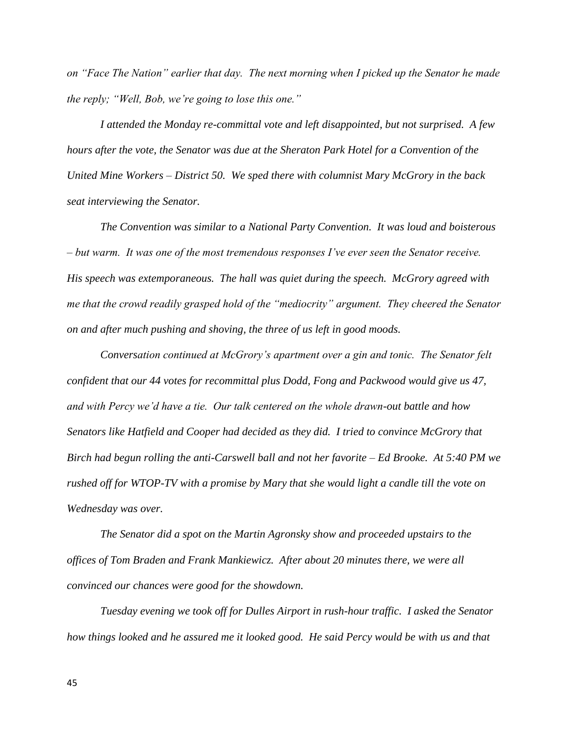*on "Face The Nation" earlier that day. The next morning when I picked up the Senator he made the reply; "Well, Bob, we're going to lose this one."* 

*I attended the Monday re-committal vote and left disappointed, but not surprised. A few hours after the vote, the Senator was due at the Sheraton Park Hotel for a Convention of the United Mine Workers – District 50. We sped there with columnist Mary McGrory in the back seat interviewing the Senator.*

*The Convention was similar to a National Party Convention. It was loud and boisterous – but warm. It was one of the most tremendous responses I've ever seen the Senator receive. His speech was extemporaneous. The hall was quiet during the speech. McGrory agreed with me that the crowd readily grasped hold of the "mediocrity" argument. They cheered the Senator on and after much pushing and shoving, the three of us left in good moods.*

*Conversation continued at McGrory's apartment over a gin and tonic. The Senator felt confident that our 44 votes for recommittal plus Dodd, Fong and Packwood would give us 47, and with Percy we'd have a tie. Our talk centered on the whole drawn-out battle and how Senators like Hatfield and Cooper had decided as they did. I tried to convince McGrory that Birch had begun rolling the anti-Carswell ball and not her favorite – Ed Brooke. At 5:40 PM we rushed off for WTOP-TV with a promise by Mary that she would light a candle till the vote on Wednesday was over.* 

*The Senator did a spot on the Martin Agronsky show and proceeded upstairs to the offices of Tom Braden and Frank Mankiewicz. After about 20 minutes there, we were all convinced our chances were good for the showdown.*

*Tuesday evening we took off for Dulles Airport in rush-hour traffic. I asked the Senator how things looked and he assured me it looked good. He said Percy would be with us and that*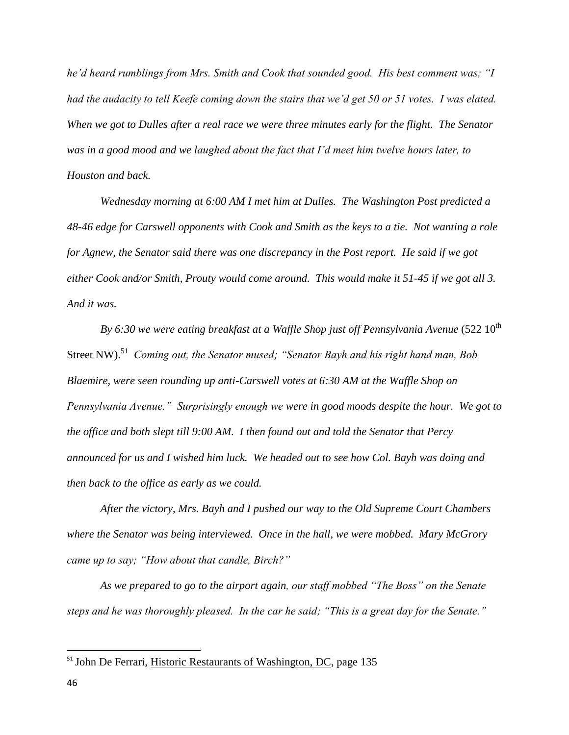*he'd heard rumblings from Mrs. Smith and Cook that sounded good. His best comment was; "I had the audacity to tell Keefe coming down the stairs that we'd get 50 or 51 votes. I was elated. When we got to Dulles after a real race we were three minutes early for the flight. The Senator was in a good mood and we laughed about the fact that I'd meet him twelve hours later, to Houston and back.*

*Wednesday morning at 6:00 AM I met him at Dulles. The Washington Post predicted a 48-46 edge for Carswell opponents with Cook and Smith as the keys to a tie. Not wanting a role for Agnew, the Senator said there was one discrepancy in the Post report. He said if we got either Cook and/or Smith, Prouty would come around. This would make it 51-45 if we got all 3. And it was.*

*By 6:30 we were eating breakfast at a Waffle Shop just off Pennsylvania Avenue* (522 10<sup>th</sup>) Street NW).<sup>51</sup> Coming out, the Senator mused; "Senator Bayh and his right hand man, Bob *Blaemire, were seen rounding up anti-Carswell votes at 6:30 AM at the Waffle Shop on Pennsylvania Avenue." Surprisingly enough we were in good moods despite the hour. We got to the office and both slept till 9:00 AM. I then found out and told the Senator that Percy announced for us and I wished him luck. We headed out to see how Col. Bayh was doing and then back to the office as early as we could.* 

*After the victory, Mrs. Bayh and I pushed our way to the Old Supreme Court Chambers where the Senator was being interviewed. Once in the hall, we were mobbed. Mary McGrory came up to say; "How about that candle, Birch?"*

*As we prepared to go to the airport again, our staff mobbed "The Boss" on the Senate steps and he was thoroughly pleased. In the car he said; "This is a great day for the Senate."* 

 $\overline{a}$ 

<sup>&</sup>lt;sup>51</sup> John De Ferrari, Historic Restaurants of Washington, DC, page 135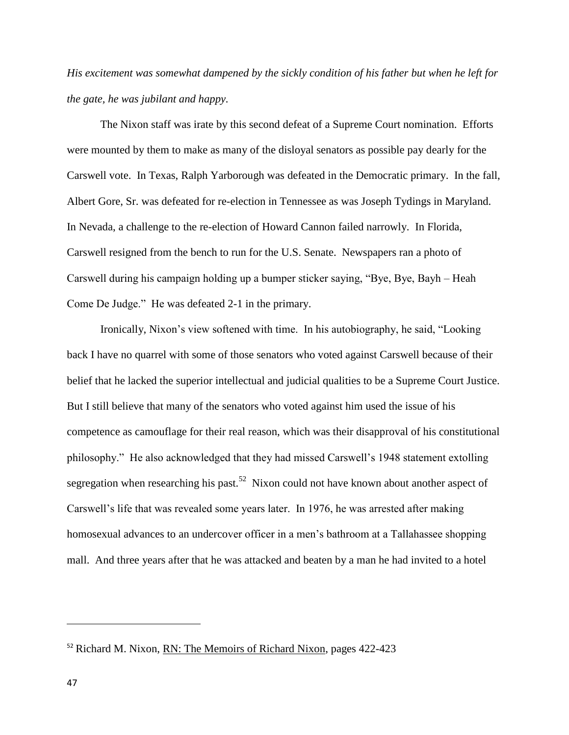*His excitement was somewhat dampened by the sickly condition of his father but when he left for the gate, he was jubilant and happy.* 

The Nixon staff was irate by this second defeat of a Supreme Court nomination. Efforts were mounted by them to make as many of the disloyal senators as possible pay dearly for the Carswell vote. In Texas, Ralph Yarborough was defeated in the Democratic primary. In the fall, Albert Gore, Sr. was defeated for re-election in Tennessee as was Joseph Tydings in Maryland. In Nevada, a challenge to the re-election of Howard Cannon failed narrowly. In Florida, Carswell resigned from the bench to run for the U.S. Senate. Newspapers ran a photo of Carswell during his campaign holding up a bumper sticker saying, "Bye, Bye, Bayh – Heah Come De Judge." He was defeated 2-1 in the primary.

Ironically, Nixon's view softened with time. In his autobiography, he said, "Looking back I have no quarrel with some of those senators who voted against Carswell because of their belief that he lacked the superior intellectual and judicial qualities to be a Supreme Court Justice. But I still believe that many of the senators who voted against him used the issue of his competence as camouflage for their real reason, which was their disapproval of his constitutional philosophy." He also acknowledged that they had missed Carswell's 1948 statement extolling segregation when researching his past.<sup>52</sup> Nixon could not have known about another aspect of Carswell's life that was revealed some years later. In 1976, he was arrested after making homosexual advances to an undercover officer in a men's bathroom at a Tallahassee shopping mall. And three years after that he was attacked and beaten by a man he had invited to a hotel

 $\overline{a}$ 

<sup>&</sup>lt;sup>52</sup> Richard M. Nixon, RN: The Memoirs of Richard Nixon, pages 422-423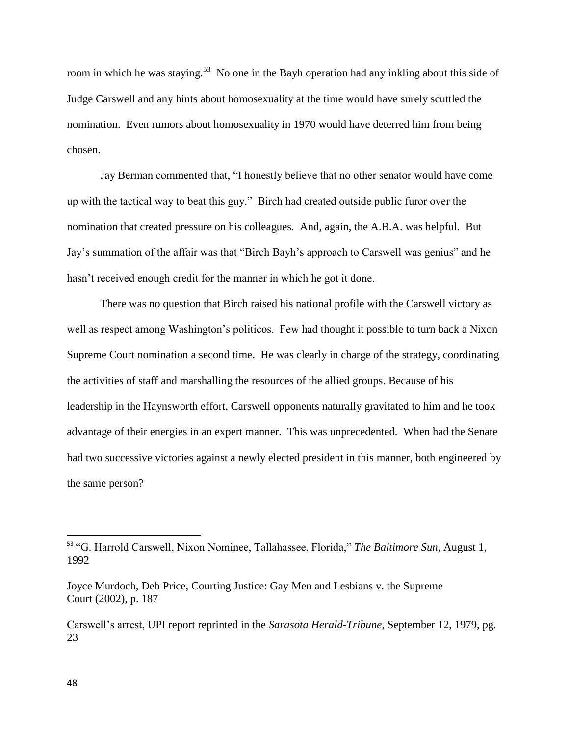room in which he was staying.<sup>53</sup> No one in the Bayh operation had any inkling about this side of Judge Carswell and any hints about homosexuality at the time would have surely scuttled the nomination. Even rumors about homosexuality in 1970 would have deterred him from being chosen.

Jay Berman commented that, "I honestly believe that no other senator would have come up with the tactical way to beat this guy." Birch had created outside public furor over the nomination that created pressure on his colleagues. And, again, the A.B.A. was helpful. But Jay's summation of the affair was that "Birch Bayh's approach to Carswell was genius" and he hasn't received enough credit for the manner in which he got it done.

There was no question that Birch raised his national profile with the Carswell victory as well as respect among Washington's politicos. Few had thought it possible to turn back a Nixon Supreme Court nomination a second time. He was clearly in charge of the strategy, coordinating the activities of staff and marshalling the resources of the allied groups. Because of his leadership in the Haynsworth effort, Carswell opponents naturally gravitated to him and he took advantage of their energies in an expert manner. This was unprecedented. When had the Senate had two successive victories against a newly elected president in this manner, both engineered by the same person?

<sup>53</sup> "G. Harrold Carswell, Nixon Nominee, Tallahassee, Florida," *The Baltimore Sun*, August 1, 1992

Joyce Murdoch, Deb Price, Courting Justice: Gay Men and Lesbians v. the Supreme Court (2002), p. 187

Carswell's arrest, UPI report reprinted in the *Sarasota Herald-Tribune*, September 12, 1979, pg. 23